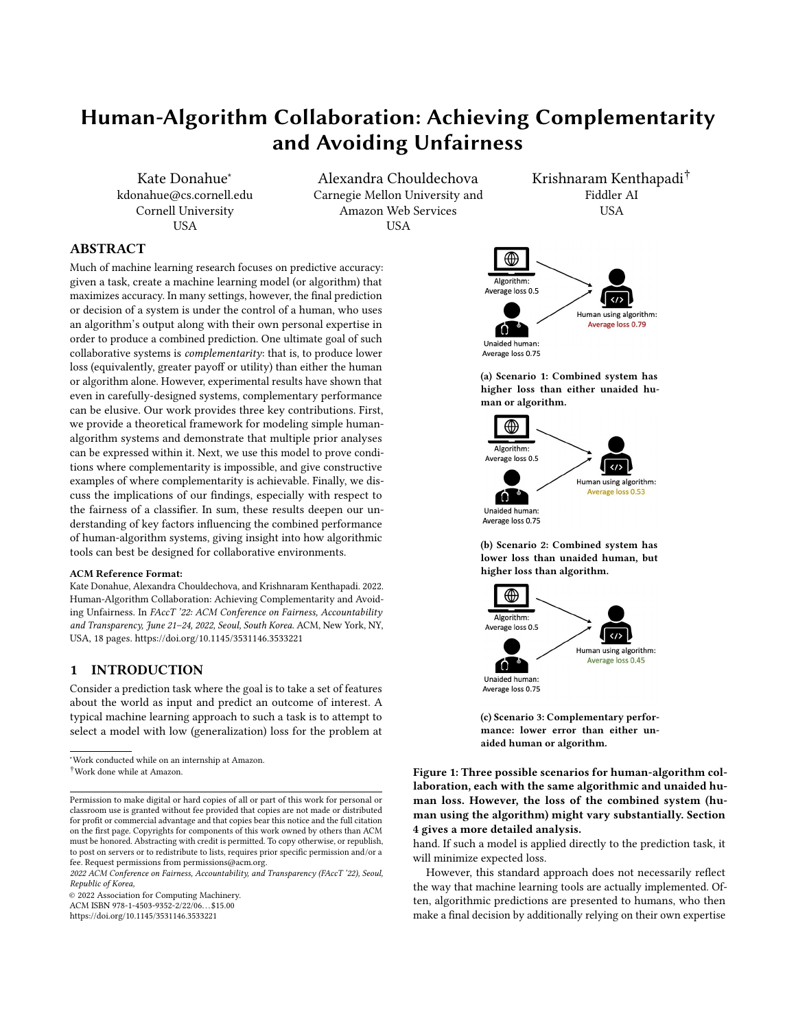Kate Donahue<sup>∗</sup> kdonahue@cs.cornell.edu Cornell University USA

Alexandra Chouldechova Carnegie Mellon University and Amazon Web Services **IISA** 

Krishnaram Kenthapadi† Fiddler AI **USA** 

# ABSTRACT

Much of machine learning research focuses on predictive accuracy: given a task, create a machine learning model (or algorithm) that maximizes accuracy. In many settings, however, the final prediction or decision of a system is under the control of a human, who uses an algorithm's output along with their own personal expertise in order to produce a combined prediction. One ultimate goal of such collaborative systems is *complementarity*: that is, to produce lower loss (equivalently, greater payoff or utility) than either the human or algorithm alone. However, experimental results have shown that even in carefully-designed systems, complementary performance can be elusive. Our work provides three key contributions. First, we provide a theoretical framework for modeling simple humanalgorithm systems and demonstrate that multiple prior analyses can be expressed within it. Next, we use this model to prove conditions where complementarity is impossible, and give constructive examples of where complementarity is achievable. Finally, we discuss the implications of our findings, especially with respect to the fairness of a classifier. In sum, these results deepen our understanding of key factors influencing the combined performance of human-algorithm systems, giving insight into how algorithmic tools can best be designed for collaborative environments.

#### ACM Reference Format:

Kate Donahue, Alexandra Chouldechova, and Krishnaram Kenthapadi. 2022. Human-Algorithm Collaboration: Achieving Complementarity and Avoiding Unfairness. In FAccT '22: ACM Conference on Fairness, Accountability and Transparency, June 21–24, 2022, Seoul, South Korea. ACM, New York, NY, USA, [18](#page-17-0) pages.<https://doi.org/10.1145/3531146.3533221>

# 1 INTRODUCTION

Consider a prediction task where the goal is to take a set of features about the world as input and predict an outcome of interest. A typical machine learning approach to such a task is to attempt to select a model with low (generalization) loss for the problem at

<sup>∗</sup>Work conducted while on an internship at Amazon. †Work done while at Amazon.

<span id="page-0-0"></span>

(a) Scenario 1: Combined system has higher loss than either unaided human or algorithm.



(b) Scenario 2: Combined system has lower loss than unaided human, but higher loss than algorithm.



(c) Scenario 3: Complementary performance: lower error than either unaided human or algorithm.

Figure 1: Three possible scenarios for human-algorithm collaboration, each with the same algorithmic and unaided human loss. However, the loss of the combined system (human using the algorithm) might vary substantially. Section [4](#page-3-0) gives a more detailed analysis.

hand. If such a model is applied directly to the prediction task, it will minimize expected loss.

However, this standard approach does not necessarily reflect the way that machine learning tools are actually implemented. Often, algorithmic predictions are presented to humans, who then make a final decision by additionally relying on their own expertise

Permission to make digital or hard copies of all or part of this work for personal or classroom use is granted without fee provided that copies are not made or distributed for profit or commercial advantage and that copies bear this notice and the full citation on the first page. Copyrights for components of this work owned by others than ACM must be honored. Abstracting with credit is permitted. To copy otherwise, or republish, to post on servers or to redistribute to lists, requires prior specific permission and/or a fee. Request permissions from permissions@acm.org.

<sup>2022</sup> ACM Conference on Fairness, Accountability, and Transparency (FAccT '22), Seoul, Republic of Korea,

<sup>©</sup> 2022 Association for Computing Machinery.

ACM ISBN 978-1-4503-9352-2/22/06. . . \$15.00

<https://doi.org/10.1145/3531146.3533221>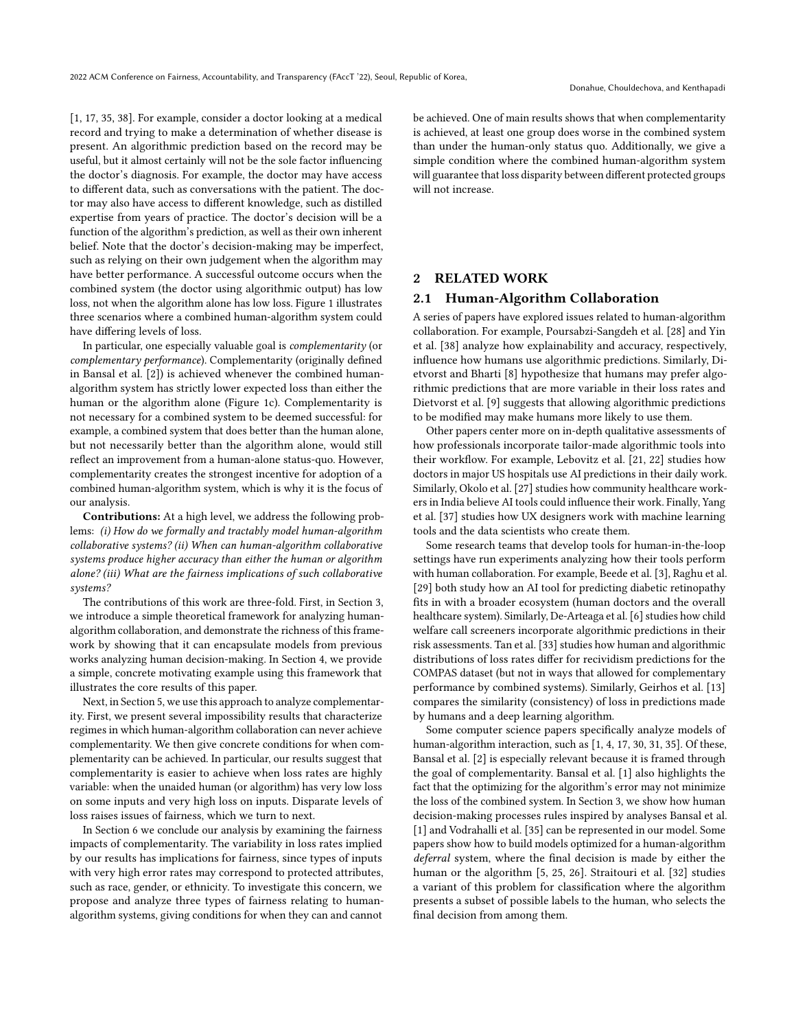[\[1,](#page-9-0) [17,](#page-9-1) [35,](#page-10-0) [38\]](#page-10-1). For example, consider a doctor looking at a medical record and trying to make a determination of whether disease is present. An algorithmic prediction based on the record may be useful, but it almost certainly will not be the sole factor influencing the doctor's diagnosis. For example, the doctor may have access to different data, such as conversations with the patient. The doctor may also have access to different knowledge, such as distilled expertise from years of practice. The doctor's decision will be a function of the algorithm's prediction, as well as their own inherent belief. Note that the doctor's decision-making may be imperfect, such as relying on their own judgement when the algorithm may have better performance. A successful outcome occurs when the combined system (the doctor using algorithmic output) has low loss, not when the algorithm alone has low loss. Figure [1](#page-0-0) illustrates three scenarios where a combined human-algorithm system could have differing levels of loss.

In particular, one especially valuable goal is complementarity (or complementary performance). Complementarity (originally defined in Bansal et al. [\[2\]](#page-9-2)) is achieved whenever the combined humanalgorithm system has strictly lower expected loss than either the human or the algorithm alone (Figure [1c\)](#page-0-0). Complementarity is not necessary for a combined system to be deemed successful: for example, a combined system that does better than the human alone, but not necessarily better than the algorithm alone, would still reflect an improvement from a human-alone status-quo. However, complementarity creates the strongest incentive for adoption of a combined human-algorithm system, which is why it is the focus of our analysis.

Contributions: At a high level, we address the following problems: (i) How do we formally and tractably model human-algorithm collaborative systems? (ii) When can human-algorithm collaborative systems produce higher accuracy than either the human or algorithm alone? (iii) What are the fairness implications of such collaborative systems?

The contributions of this work are three-fold. First, in Section [3,](#page-2-0) we introduce a simple theoretical framework for analyzing humanalgorithm collaboration, and demonstrate the richness of this framework by showing that it can encapsulate models from previous works analyzing human decision-making. In Section [4,](#page-3-0) we provide a simple, concrete motivating example using this framework that illustrates the core results of this paper.

Next, in Section [5,](#page-5-0) we use this approach to analyze complementarity. First, we present several impossibility results that characterize regimes in which human-algorithm collaboration can never achieve complementarity. We then give concrete conditions for when complementarity can be achieved. In particular, our results suggest that complementarity is easier to achieve when loss rates are highly variable: when the unaided human (or algorithm) has very low loss on some inputs and very high loss on inputs. Disparate levels of loss raises issues of fairness, which we turn to next.

In Section [6](#page-7-0) we conclude our analysis by examining the fairness impacts of complementarity. The variability in loss rates implied by our results has implications for fairness, since types of inputs with very high error rates may correspond to protected attributes, such as race, gender, or ethnicity. To investigate this concern, we propose and analyze three types of fairness relating to humanalgorithm systems, giving conditions for when they can and cannot

be achieved. One of main results shows that when complementarity is achieved, at least one group does worse in the combined system than under the human-only status quo. Additionally, we give a simple condition where the combined human-algorithm system will guarantee that loss disparity between different protected groups will not increase.

# **RELATED WORK**

# 2.1 Human-Algorithm Collaboration

A series of papers have explored issues related to human-algorithm collaboration. For example, Poursabzi-Sangdeh et al. [\[28\]](#page-10-2) and Yin et al. [\[38\]](#page-10-1) analyze how explainability and accuracy, respectively, influence how humans use algorithmic predictions. Similarly, Dietvorst and Bharti [\[8\]](#page-9-3) hypothesize that humans may prefer algorithmic predictions that are more variable in their loss rates and Dietvorst et al. [\[9\]](#page-9-4) suggests that allowing algorithmic predictions to be modified may make humans more likely to use them.

Other papers center more on in-depth qualitative assessments of how professionals incorporate tailor-made algorithmic tools into their workflow. For example, Lebovitz et al. [\[21,](#page-9-5) [22\]](#page-9-6) studies how doctors in major US hospitals use AI predictions in their daily work. Similarly, Okolo et al. [\[27\]](#page-10-3) studies how community healthcare workers in India believe AI tools could influence their work. Finally, Yang et al. [\[37\]](#page-10-4) studies how UX designers work with machine learning tools and the data scientists who create them.

Some research teams that develop tools for human-in-the-loop settings have run experiments analyzing how their tools perform with human collaboration. For example, Beede et al. [\[3\]](#page-9-7), Raghu et al. [\[29\]](#page-10-5) both study how an AI tool for predicting diabetic retinopathy fits in with a broader ecosystem (human doctors and the overall healthcare system). Similarly, De-Arteaga et al. [\[6\]](#page-9-8) studies how child welfare call screeners incorporate algorithmic predictions in their risk assessments. Tan et al. [\[33\]](#page-10-6) studies how human and algorithmic distributions of loss rates differ for recividism predictions for the COMPAS dataset (but not in ways that allowed for complementary performance by combined systems). Similarly, Geirhos et al. [\[13\]](#page-9-9) compares the similarity (consistency) of loss in predictions made by humans and a deep learning algorithm.

Some computer science papers specifically analyze models of human-algorithm interaction, such as [\[1,](#page-9-0) [4,](#page-9-10) [17,](#page-9-1) [30,](#page-10-7) [31,](#page-10-8) [35\]](#page-10-0). Of these, Bansal et al. [\[2\]](#page-9-2) is especially relevant because it is framed through the goal of complementarity. Bansal et al. [\[1\]](#page-9-0) also highlights the fact that the optimizing for the algorithm's error may not minimize the loss of the combined system. In Section [3,](#page-2-0) we show how human decision-making processes rules inspired by analyses Bansal et al. [\[1\]](#page-9-0) and Vodrahalli et al. [\[35\]](#page-10-0) can be represented in our model. Some papers show how to build models optimized for a human-algorithm deferral system, where the final decision is made by either the human or the algorithm [\[5,](#page-9-11) [25,](#page-10-9) [26\]](#page-10-10). Straitouri et al. [\[32\]](#page-10-11) studies a variant of this problem for classification where the algorithm presents a subset of possible labels to the human, who selects the final decision from among them.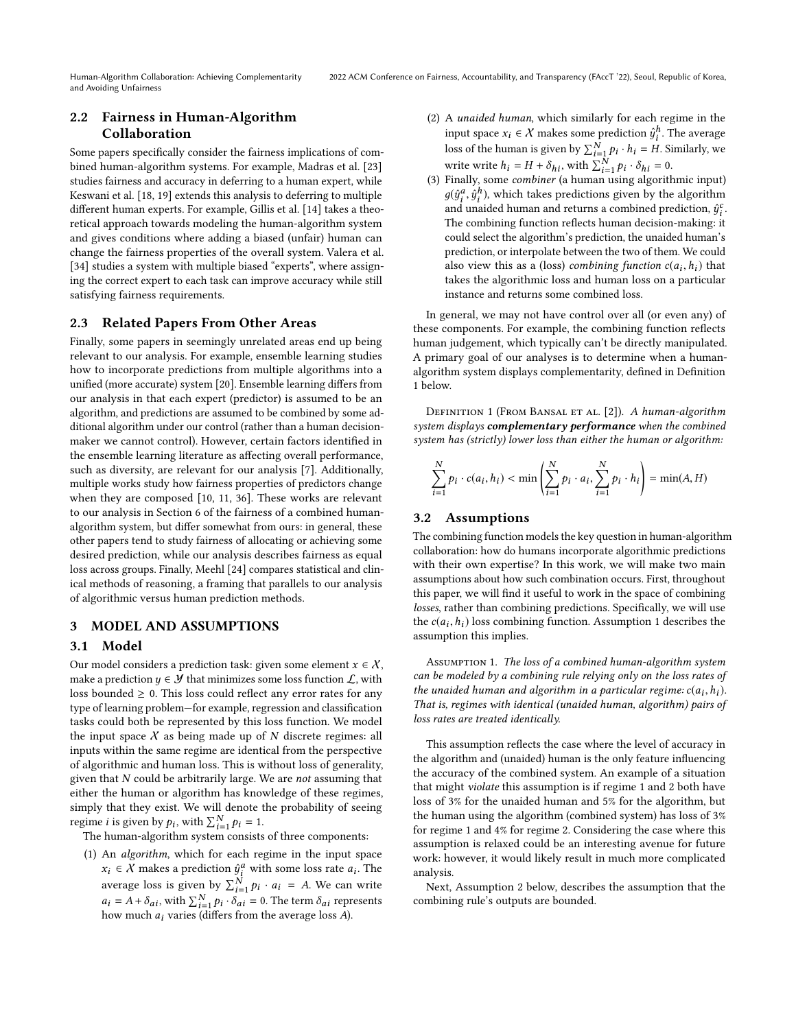# 2.2 Fairness in Human-Algorithm Collaboration

Some papers specifically consider the fairness implications of combined human-algorithm systems. For example, Madras et al. [\[23\]](#page-9-12) studies fairness and accuracy in deferring to a human expert, while Keswani et al. [\[18,](#page-9-13) [19\]](#page-9-14) extends this analysis to deferring to multiple different human experts. For example, Gillis et al. [\[14\]](#page-9-15) takes a theoretical approach towards modeling the human-algorithm system and gives conditions where adding a biased (unfair) human can change the fairness properties of the overall system. Valera et al. [\[34\]](#page-10-12) studies a system with multiple biased "experts", where assigning the correct expert to each task can improve accuracy while still satisfying fairness requirements.

# 2.3 Related Papers From Other Areas

Finally, some papers in seemingly unrelated areas end up being relevant to our analysis. For example, ensemble learning studies how to incorporate predictions from multiple algorithms into a unified (more accurate) system [\[20\]](#page-9-16). Ensemble learning differs from our analysis in that each expert (predictor) is assumed to be an algorithm, and predictions are assumed to be combined by some additional algorithm under our control (rather than a human decisionmaker we cannot control). However, certain factors identified in the ensemble learning literature as affecting overall performance, such as diversity, are relevant for our analysis [\[7\]](#page-9-17). Additionally, multiple works study how fairness properties of predictors change when they are composed [\[10,](#page-9-18) [11,](#page-9-19) [36\]](#page-10-13). These works are relevant to our analysis in Section [6](#page-7-0) of the fairness of a combined humanalgorithm system, but differ somewhat from ours: in general, these other papers tend to study fairness of allocating or achieving some desired prediction, while our analysis describes fairness as equal loss across groups. Finally, Meehl [\[24\]](#page-9-20) compares statistical and clinical methods of reasoning, a framing that parallels to our analysis of algorithmic versus human prediction methods.

### <span id="page-2-0"></span>3 MODEL AND ASSUMPTIONS

### 3.1 Model

Our model considers a prediction task: given some element  $x \in \mathcal{X}$ , make a prediction  $y \in \mathcal{Y}$  that minimizes some loss function  $\mathcal{L}$ , with loss bounded  $\geq 0$ . This loss could reflect any error rates for any type of learning problem—for example, regression and classification tasks could both be represented by this loss function. We model the input space  $X$  as being made up of  $N$  discrete regimes: all inputs within the same regime are identical from the perspective of algorithmic and human loss. This is without loss of generality, given that  $N$  could be arbitrarily large. We are *not* assuming that either the human or algorithm has knowledge of these regimes, simply that they exist. We will denote the probability of seeing regime *i* is given by  $p_i$ , with  $\sum_{i=1}^{N} p_i = 1$ .<br>The human-algorithm system consists

The human-algorithm system consists of three components:

(1) An algorithm, which for each regime in the input space  $x_i \in \overline{X}$  makes a prediction  $\hat{y}_i^a$  with some loss rate  $a_i$ . The average loss is given by  $\sum_{i=1}^{N} p_i \cdot a_i = A$ . We can write  $a_i = A + \delta_{ai}$ , with  $\sum_{i=1}^{N} p_i \cdot \delta_{ai} = 0$ . The term  $\delta_{ai}$  represents how much as varies (differs from the average loss 4) how much  $a_i$  varies (differs from the average loss  $A$ ).

- (2) A unaided human, which similarly for each regime in the input space  $x_i \in \mathcal{X}$  makes some prediction  $\hat{y}_i^h$ . The average loss of the human is given by  $\sum_{i=1}^{N} p_i \cdot h_i = H$ . Similarly, we write write  $h_i = H + \delta_{hi}$ , with  $\sum_{i=1}^{N} p_i \cdot \delta_{hi} = 0$ .<br>Finally, some combiner (a buman using algorith
- (3) Finally, some combiner (a human using algorithmic input)  $g(\hat{y}_i^a, \hat{y}_i^b)$ , which takes predictions given by the algorithm<br>and unaided burnan and returns a combined prediction,  $\hat{y}_i^c$ and unaided human and returns a combined prediction,  $\hat{y}_i^c$ .<br>The combining function reflects human decision-making, it The combining function reflects human decision-making: it could select the algorithm's prediction, the unaided human's prediction, or interpolate between the two of them. We could also view this as a (loss) *combining function*  $c(a_i, h_i)$  that takes the algorithmic loss and human loss on a particular takes the algorithmic loss and human loss on a particular instance and returns some combined loss.

In general, we may not have control over all (or even any) of these components. For example, the combining function reflects human judgement, which typically can't be directly manipulated. A primary goal of our analyses is to determine when a humanalgorithm system displays complementarity, defined in Definition [1](#page-2-1) below.

<span id="page-2-1"></span>DEFINITION 1 (FROM BANSAL ET AL. [2]). A human-algorithm system displays complementary performance when the combined system has (strictly) lower loss than either the human or algorithm:

$$
\sum_{i=1}^{N} p_i \cdot c(a_i, h_i) < \min \left( \sum_{i=1}^{N} p_i \cdot a_i, \sum_{i=1}^{N} p_i \cdot h_i \right) = \min(A, H)
$$

# 3.2 Assumptions

The combining function models the key question in human-algorithm collaboration: how do humans incorporate algorithmic predictions with their own expertise? In this work, we will make two main assumptions about how such combination occurs. First, throughout this paper, we will find it useful to work in the space of combining losses, rather than combining predictions. Specifically, we will use the  $c(a_i, h_i)$  loss combining function. Assumption [1](#page-2-2) describes the assumption this implies assumption this implies.

<span id="page-2-2"></span>Assumption 1. The loss of a combined human-algorithm system can be modeled by a combining rule relying only on the loss rates of the unaided human and algorithm in a particular regime:  $c(a_i, h_i)$ .<br>That is, regimes with identical (unaided human, algorithm) pairs of That is, regimes with identical (unaided human, algorithm) pairs of loss rates are treated identically.

This assumption reflects the case where the level of accuracy in the algorithm and (unaided) human is the only feature influencing the accuracy of the combined system. An example of a situation that might violate this assumption is if regime 1 and 2 both have loss of 3% for the unaided human and 5% for the algorithm, but the human using the algorithm (combined system) has loss of 3% for regime 1 and 4% for regime 2. Considering the case where this assumption is relaxed could be an interesting avenue for future work: however, it would likely result in much more complicated analysis.

Next, Assumption [2](#page-3-1) below, describes the assumption that the combining rule's outputs are bounded.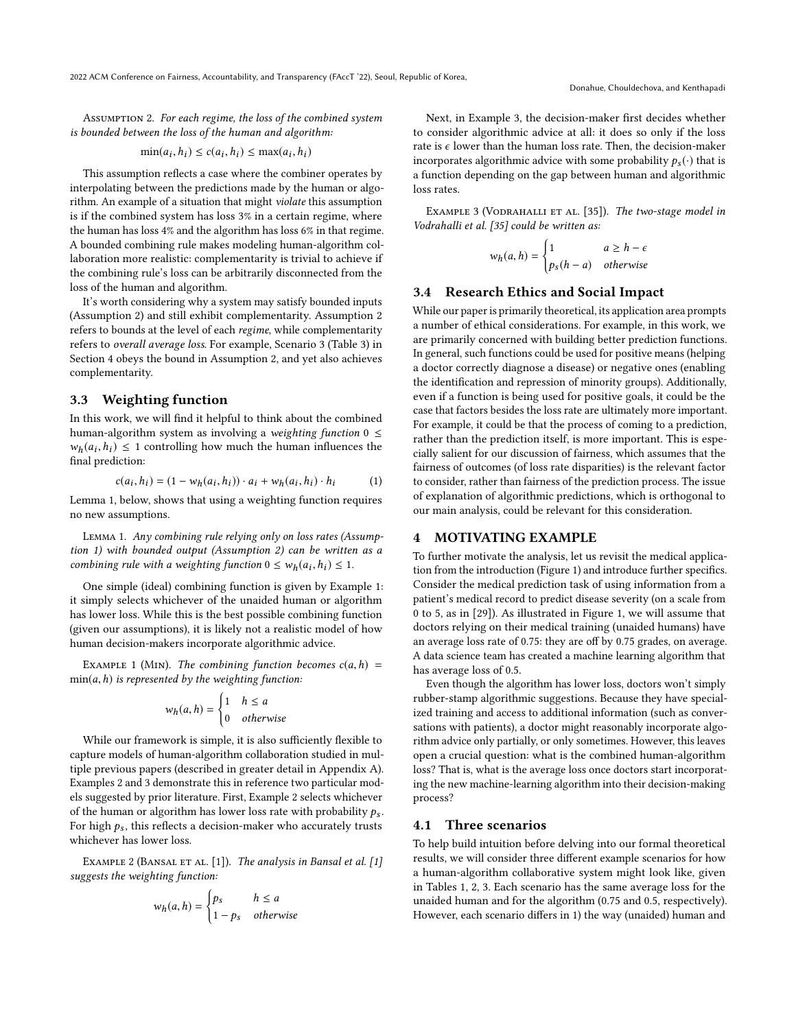<span id="page-3-1"></span>Assumption 2. For each regime, the loss of the combined system is bounded between the loss of the human and algorithm:

$$
\min(a_i, h_i) \le c(a_i, h_i) \le \max(a_i, h_i)
$$

This assumption reflects a case where the combiner operates by interpolating between the predictions made by the human or algorithm. An example of a situation that might violate this assumption is if the combined system has loss 3% in a certain regime, where the human has loss 4% and the algorithm has loss 6% in that regime. A bounded combining rule makes modeling human-algorithm collaboration more realistic: complementarity is trivial to achieve if the combining rule's loss can be arbitrarily disconnected from the loss of the human and algorithm.

It's worth considering why a system may satisfy bounded inputs (Assumption [2\)](#page-3-1) and still exhibit complementarity. Assumption [2](#page-3-1) refers to bounds at the level of each regime, while complementarity refers to overall average loss. For example, Scenario 3 (Table 3) in Section [4](#page-3-0) obeys the bound in Assumption [2,](#page-3-1) and yet also achieves complementarity.

# 3.3 Weighting function

In this work, we will find it helpful to think about the combined human-algorithm system as involving a weighting function  $0 \leq$  $w_h(a_i, h_i) \leq 1$  controlling how much the human influences the final prediction: final prediction:

<span id="page-3-6"></span>
$$
c(a_i, h_i) = (1 - w_h(a_i, h_i)) \cdot a_i + w_h(a_i, h_i) \cdot h_i
$$
 (1)

Lemma [1,](#page-3-2) below, shows that using a weighting function requires no new assumptions.

<span id="page-3-2"></span>Lemma 1. Any combining rule relying only on loss rates (Assumption [1\)](#page-2-2) with bounded output (Assumption [2\)](#page-3-1) can be written as a combining rule with a weighting function  $0 \leq w_h(a_i, h_i) \leq 1$ .

One simple (ideal) combining function is given by Example [1:](#page-3-3) it simply selects whichever of the unaided human or algorithm has lower loss. While this is the best possible combining function (given our assumptions), it is likely not a realistic model of how human decision-makers incorporate algorithmic advice.

<span id="page-3-3"></span>EXAMPLE 1 (MIN). The combining function becomes  $c(a, h)$  =  $min(a, h)$  is represented by the weighting function:

$$
w_h(a, h) = \begin{cases} 1 & h \le a \\ 0 & otherwise \end{cases}
$$

While our framework is simple, it is also sufficiently flexible to capture models of human-algorithm collaboration studied in multiple previous papers (described in greater detail in Appendix [A\)](#page-11-0). Examples [2](#page-3-4) and [3](#page-3-5) demonstrate this in reference two particular models suggested by prior literature. First, Example [2](#page-3-4) selects whichever of the human or algorithm has lower loss rate with probability  $p_s$ . For high  $p_s$ , this reflects a decision-maker who accurately trusts whichever has lower loss.

<span id="page-3-4"></span>EXAMPLE 2 (BANSAL ET AL. [\[1\]](#page-9-0)). The analysis in Bansal et al. [1] suggests the weighting function:

$$
w_h(a, h) = \begin{cases} p_s & h \le a \\ 1 - p_s & otherwise \end{cases}
$$

Next, in Example [3,](#page-3-5) the decision-maker first decides whether to consider algorithmic advice at all: it does so only if the loss rate is  $\epsilon$  lower than the human loss rate. Then, the decision-maker incorporates algorithmic advice with some probability  $p_s(\cdot)$  that is a function depending on the gap between human and algorithmic loss rates.

<span id="page-3-5"></span>EXAMPLE 3 (VODRAHALLI ET AL. [35]). The two-stage model in Vodrahalli et al. [\[35\]](#page-10-0) could be written as:

$$
w_h(a, h) = \begin{cases} 1 & a \ge h - \epsilon \\ p_s(h - a) & otherwise \end{cases}
$$

### 3.4 Research Ethics and Social Impact

While our paper is primarily theoretical, its application area prompts a number of ethical considerations. For example, in this work, we are primarily concerned with building better prediction functions. In general, such functions could be used for positive means (helping a doctor correctly diagnose a disease) or negative ones (enabling the identification and repression of minority groups). Additionally, even if a function is being used for positive goals, it could be the case that factors besides the loss rate are ultimately more important. For example, it could be that the process of coming to a prediction, rather than the prediction itself, is more important. This is especially salient for our discussion of fairness, which assumes that the fairness of outcomes (of loss rate disparities) is the relevant factor to consider, rather than fairness of the prediction process. The issue of explanation of algorithmic predictions, which is orthogonal to our main analysis, could be relevant for this consideration.

### <span id="page-3-0"></span>4 MOTIVATING EXAMPLE

To further motivate the analysis, let us revisit the medical application from the introduction (Figure [1\)](#page-0-0) and introduce further specifics. Consider the medical prediction task of using information from a patient's medical record to predict disease severity (on a scale from 0 to 5, as in [\[29\]](#page-10-5)). As illustrated in Figure [1,](#page-0-0) we will assume that doctors relying on their medical training (unaided humans) have an average loss rate of 0.75: they are off by 0.75 grades, on average. A data science team has created a machine learning algorithm that has average loss of 0.5.

Even though the algorithm has lower loss, doctors won't simply rubber-stamp algorithmic suggestions. Because they have specialized training and access to additional information (such as conversations with patients), a doctor might reasonably incorporate algorithm advice only partially, or only sometimes. However, this leaves open a crucial question: what is the combined human-algorithm loss? That is, what is the average loss once doctors start incorporating the new machine-learning algorithm into their decision-making process?

### 4.1 Three scenarios

To help build intuition before delving into our formal theoretical results, we will consider three different example scenarios for how a human-algorithm collaborative system might look like, given in Tables 1, 2, 3. Each scenario has the same average loss for the unaided human and for the algorithm (0.75 and 0.5, respectively). However, each scenario differs in 1) the way (unaided) human and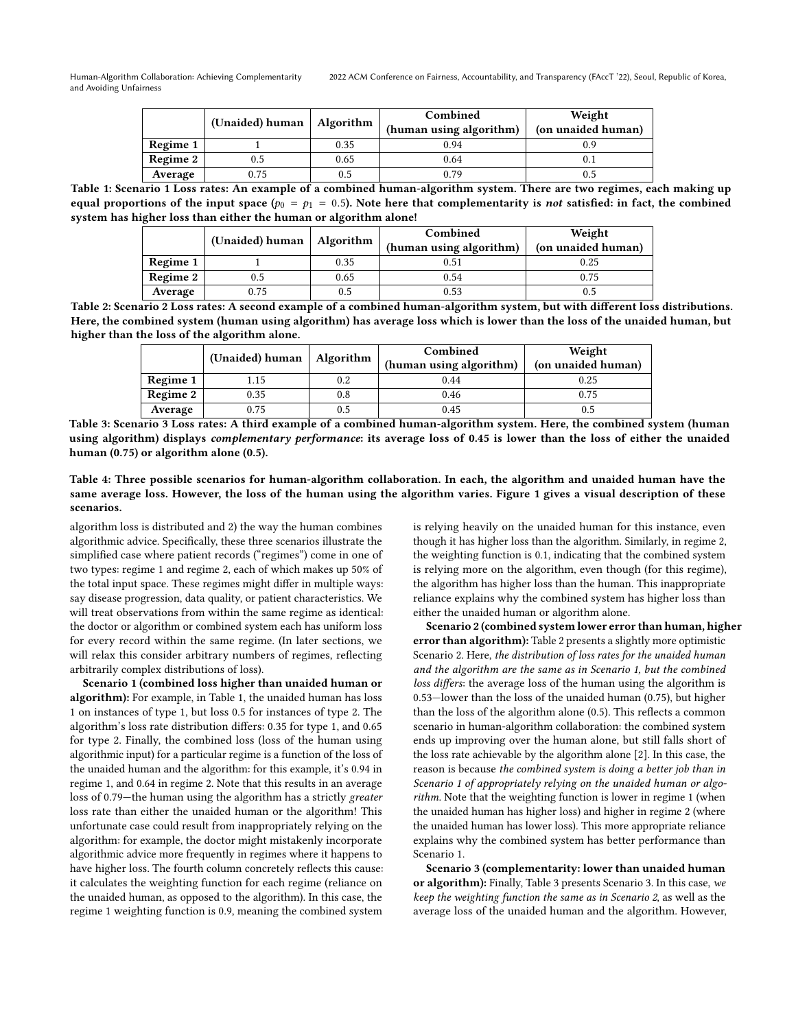|          | (Unaided) human $\vert$ | Algorithm | Combined<br>(human using algorithm) | Weight<br>(on unaided human) |
|----------|-------------------------|-----------|-------------------------------------|------------------------------|
| Regime 1 |                         | 0.35      | 0.94                                | 0.9                          |
| Regime 2 |                         | 0.65      | 0.64                                |                              |
| Average  | 0.75                    | 0.5       | 0.79                                | 0.5                          |

Table 1: Scenario 1 Loss rates: An example of a combined human-algorithm system. There are two regimes, each making up equal proportions of the input space ( $p_0 = p_1 = 0.5$ ). Note here that complementarity is not satisfied: in fact, the combined system has higher loss than either the human or algorithm alone!

|          | (Unaided) human | Algorithm | Combined                | Weight             |
|----------|-----------------|-----------|-------------------------|--------------------|
|          |                 |           | (human using algorithm) | (on unaided human) |
| Regime 1 |                 | 0.35      | 0.51                    | 0.25               |
| Regime 2 | 0.5             | 0.65      | 0.54                    | 0.75               |
| Average  | 0.75            | 0.5       | 0.53                    |                    |

Table 2: Scenario 2 Loss rates: A second example of a combined human-algorithm system, but with different loss distributions. Here, the combined system (human using algorithm) has average loss which is lower than the loss of the unaided human, but higher than the loss of the algorithm alone.

|          |                               |     | Combined                | Weight             |
|----------|-------------------------------|-----|-------------------------|--------------------|
|          | (Unaided) human $ $ Algorithm |     | (human using algorithm) | (on unaided human) |
| Regime 1 | 1.15                          | 0.2 | 0.44                    | 0.25               |
| Regime 2 | 0.35                          | 0.8 | 0.46                    | 0.75               |
| Average  | 0.75                          | 0.5 | 0.45                    |                    |

Table 3: Scenario 3 Loss rates: A third example of a combined human-algorithm system. Here, the combined system (human using algorithm) displays complementary performance: its average loss of 0.45 is lower than the loss of either the unaided human (0.75) or algorithm alone (0.5).

Table 4: Three possible scenarios for human-algorithm collaboration. In each, the algorithm and unaided human have the same average loss. However, the loss of the human using the algorithm varies. Figure [1](#page-0-0) gives a visual description of these scenarios.

algorithm loss is distributed and 2) the way the human combines algorithmic advice. Specifically, these three scenarios illustrate the simplified case where patient records ("regimes") come in one of two types: regime 1 and regime 2, each of which makes up 50% of the total input space. These regimes might differ in multiple ways: say disease progression, data quality, or patient characteristics. We will treat observations from within the same regime as identical: the doctor or algorithm or combined system each has uniform loss for every record within the same regime. (In later sections, we will relax this consider arbitrary numbers of regimes, reflecting arbitrarily complex distributions of loss).

Scenario 1 (combined loss higher than unaided human or algorithm): For example, in Table 1, the unaided human has loss 1 on instances of type 1, but loss 0.5 for instances of type 2. The algorithm's loss rate distribution differs: 0.35 for type 1, and 0.65 for type 2. Finally, the combined loss (loss of the human using algorithmic input) for a particular regime is a function of the loss of the unaided human and the algorithm: for this example, it's 0.94 in regime 1, and 0.64 in regime 2. Note that this results in an average loss of 0.79—the human using the algorithm has a strictly greater loss rate than either the unaided human or the algorithm! This unfortunate case could result from inappropriately relying on the algorithm: for example, the doctor might mistakenly incorporate algorithmic advice more frequently in regimes where it happens to have higher loss. The fourth column concretely reflects this cause: it calculates the weighting function for each regime (reliance on the unaided human, as opposed to the algorithm). In this case, the regime 1 weighting function is 0.9, meaning the combined system

is relying heavily on the unaided human for this instance, even though it has higher loss than the algorithm. Similarly, in regime 2, the weighting function is 0.1, indicating that the combined system is relying more on the algorithm, even though (for this regime), the algorithm has higher loss than the human. This inappropriate reliance explains why the combined system has higher loss than either the unaided human or algorithm alone.

Scenario 2 (combined system lower error than human, higher error than algorithm): Table 2 presents a slightly more optimistic Scenario 2. Here, the distribution of loss rates for the unaided human and the algorithm are the same as in Scenario 1, but the combined loss differs: the average loss of the human using the algorithm is 0.53—lower than the loss of the unaided human (0.75), but higher than the loss of the algorithm alone (0.5). This reflects a common scenario in human-algorithm collaboration: the combined system ends up improving over the human alone, but still falls short of the loss rate achievable by the algorithm alone [\[2\]](#page-9-2). In this case, the reason is because the combined system is doing a better job than in Scenario 1 of appropriately relying on the unaided human or algorithm. Note that the weighting function is lower in regime 1 (when the unaided human has higher loss) and higher in regime 2 (where the unaided human has lower loss). This more appropriate reliance explains why the combined system has better performance than Scenario 1.

Scenario 3 (complementarity: lower than unaided human or algorithm): Finally, Table 3 presents Scenario 3. In this case, we keep the weighting function the same as in Scenario 2, as well as the average loss of the unaided human and the algorithm. However,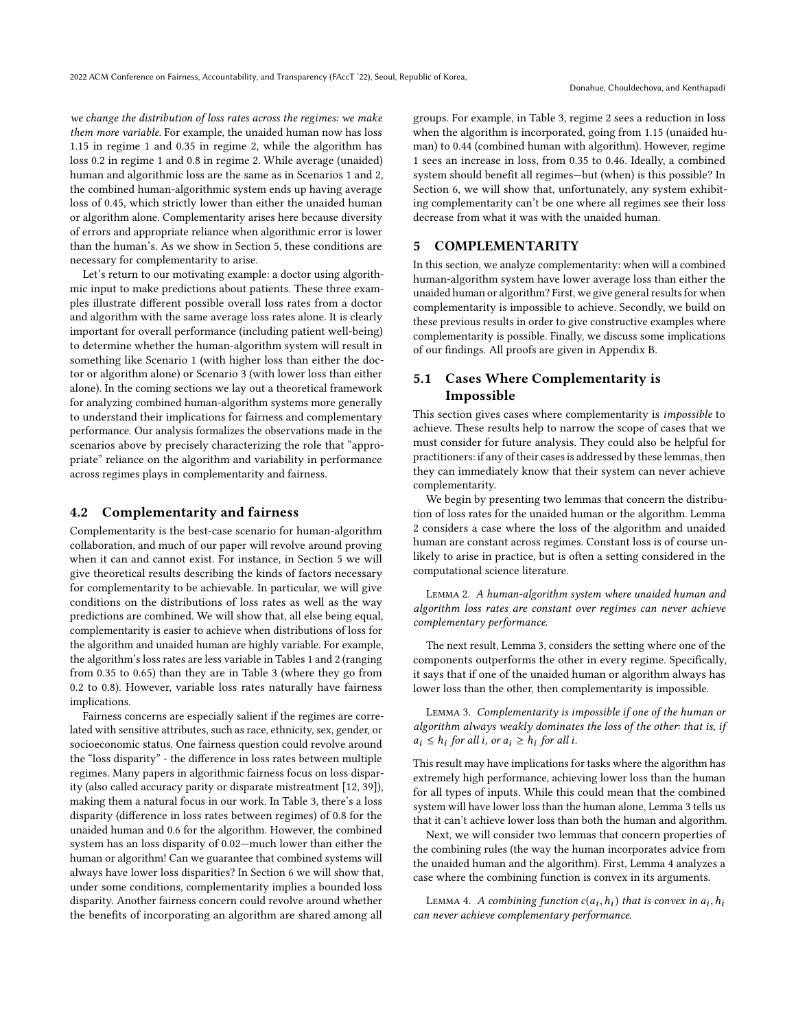we change the distribution of loss rates across the regimes: we make them more variable. For example, the unaided human now has loss 1.15 in regime 1 and 0.35 in regime 2, while the algorithm has loss 0.2 in regime 1 and 0.8 in regime 2. While average (unaided) human and algorithmic loss are the same as in Scenarios 1 and 2, the combined human-algorithmic system ends up having average loss of 0.45, which strictly lower than either the unaided human or algorithm alone. Complementarity arises here because diversity of errors and appropriate reliance when algorithmic error is lower than the human's. As we show in Section [5,](#page-5-0) these conditions are necessary for complementarity to arise.

Let's return to our motivating example: a doctor using algorithmic input to make predictions about patients. These three examples illustrate different possible overall loss rates from a doctor and algorithm with the same average loss rates alone. It is clearly important for overall performance (including patient well-being) to determine whether the human-algorithm system will result in something like Scenario 1 (with higher loss than either the doctor or algorithm alone) or Scenario 3 (with lower loss than either alone). In the coming sections we lay out a theoretical framework for analyzing combined human-algorithm systems more generally to understand their implications for fairness and complementary performance. Our analysis formalizes the observations made in the scenarios above by precisely characterizing the role that "appropriate" reliance on the algorithm and variability in performance across regimes plays in complementarity and fairness.

### 4.2 Complementarity and fairness

Complementarity is the best-case scenario for human-algorithm collaboration, and much of our paper will revolve around proving when it can and cannot exist. For instance, in Section [5](#page-5-0) we will give theoretical results describing the kinds of factors necessary for complementarity to be achievable. In particular, we will give conditions on the distributions of loss rates as well as the way predictions are combined. We will show that, all else being equal, complementarity is easier to achieve when distributions of loss for the algorithm and unaided human are highly variable. For example, the algorithm's loss rates are less variable in Tables 1 and 2 (ranging from 0.35 to 0.65) than they are in Table 3 (where they go from 0.2 to 0.8). However, variable loss rates naturally have fairness implications.

Fairness concerns are especially salient if the regimes are correlated with sensitive attributes, such as race, ethnicity, sex, gender, or socioeconomic status. One fairness question could revolve around the "loss disparity" - the difference in loss rates between multiple regimes. Many papers in algorithmic fairness focus on loss disparity (also called accuracy parity or disparate mistreatment [\[12,](#page-9-21) [39\]](#page-10-14)), making them a natural focus in our work. In Table 3, there's a loss disparity (difference in loss rates between regimes) of 0.8 for the unaided human and 0.6 for the algorithm. However, the combined system has an loss disparity of 0.02—much lower than either the human or algorithm! Can we guarantee that combined systems will always have lower loss disparities? In Section [6](#page-7-0) we will show that, under some conditions, complementarity implies a bounded loss disparity. Another fairness concern could revolve around whether the benefits of incorporating an algorithm are shared among all

groups. For example, in Table 3, regime 2 sees a reduction in loss when the algorithm is incorporated, going from 1.15 (unaided human) to 0.44 (combined human with algorithm). However, regime 1 sees an increase in loss, from 0.35 to 0.46. Ideally, a combined system should benefit all regimes—but (when) is this possible? In Section [6,](#page-7-0) we will show that, unfortunately, any system exhibiting complementarity can't be one where all regimes see their loss decrease from what it was with the unaided human.

# <span id="page-5-0"></span>5 COMPLEMENTARITY

In this section, we analyze complementarity: when will a combined human-algorithm system have lower average loss than either the unaided human or algorithm? First, we give general results for when complementarity is impossible to achieve. Secondly, we build on these previous results in order to give constructive examples where complementarity is possible. Finally, we discuss some implications of our findings. All proofs are given in Appendix [B.](#page-11-1)

# 5.1 Cases Where Complementarity is Impossible

This section gives cases where complementarity is impossible to achieve. These results help to narrow the scope of cases that we must consider for future analysis. They could also be helpful for practitioners: if any of their cases is addressed by these lemmas, then they can immediately know that their system can never achieve complementarity.

We begin by presenting two lemmas that concern the distribution of loss rates for the unaided human or the algorithm. Lemma [2](#page-5-1) considers a case where the loss of the algorithm and unaided human are constant across regimes. Constant loss is of course unlikely to arise in practice, but is often a setting considered in the computational science literature.

<span id="page-5-1"></span>Lemma 2. A human-algorithm system where unaided human and algorithm loss rates are constant over regimes can never achieve complementary performance.

The next result, Lemma [3,](#page-5-2) considers the setting where one of the components outperforms the other in every regime. Specifically, it says that if one of the unaided human or algorithm always has lower loss than the other, then complementarity is impossible.

<span id="page-5-2"></span>Lemma 3. Complementarity is impossible if one of the human or algorithm always weakly dominates the loss of the other: that is, if  $a_i \leq h_i$  for all i, or  $a_i \geq h_i$  for all i.

This result may have implications for tasks where the algorithm has extremely high performance, achieving lower loss than the human for all types of inputs. While this could mean that the combined system will have lower loss than the human alone, Lemma [3](#page-5-2) tells us that it can't achieve lower loss than both the human and algorithm.

Next, we will consider two lemmas that concern properties of the combining rules (the way the human incorporates advice from the unaided human and the algorithm). First, Lemma [4](#page-5-3) analyzes a case where the combining function is convex in its arguments.

<span id="page-5-3"></span>LEMMA 4. A combining function  $c(a_i, h_i)$  that is convex in  $a_i, h_i$ <br>a never orbieve complementary performance can never achieve complementary performance.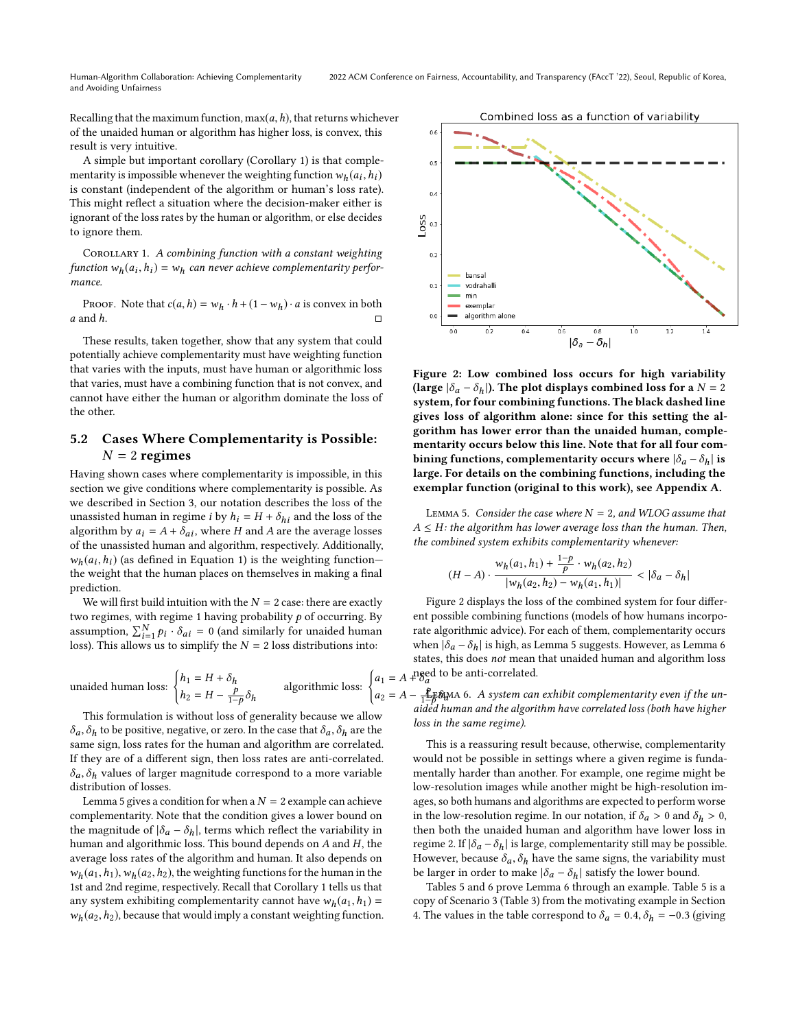Recalling that the maximum function,  $max(a, h)$ , that returns whichever of the unaided human or algorithm has higher loss, is convex, this result is very intuitive.

A simple but important corollary (Corollary [1\)](#page-6-0) is that complementarity is impossible whenever the weighting function  $w_h(a_i, h_i)$ <br>is constant (independent of the algorithm or human's loss rate) is constant (independent of the algorithm or human's loss rate). This might reflect a situation where the decision-maker either is ignorant of the loss rates by the human or algorithm, or else decides to ignore them.

<span id="page-6-0"></span>COROLLARY 1. A combining function with a constant weighting function  $w_h(a_i, h_i) = w_h$  can never achieve complementarity perfor-<br>mance mance.

PROOF. Note that  $c(a, h) = w_h \cdot h + (1 - w_h) \cdot a$  is convex in both  $a$  and  $h$ . a and h.  $\Box$ 

These results, taken together, show that any system that could potentially achieve complementarity must have weighting function that varies with the inputs, must have human or algorithmic loss that varies, must have a combining function that is not convex, and cannot have either the human or algorithm dominate the loss of the other.

# 5.2 Cases Where Complementarity is Possible:  $N = 2$  regimes

Having shown cases where complementarity is impossible, in this section we give conditions where complementarity is possible. As we described in Section [3,](#page-2-0) our notation describes the loss of the unassisted human in regime *i* by  $h_i = H + \delta_{hi}$  and the loss of the algorithm by  $a_i = A + \delta_{ai}$ , where H and A are the average losses of the unassisted human and algorithm, respectively. Additionally,  $w_h(a_i, h_i)$  (as defined in Equation [1\)](#page-3-6) is the weighting function—<br>the weight that the human places on themselves in making a final the weight that the human places on themselves in making a final prediction.

We will first build intuition with the  $N = 2$  case: there are exactly two regimes, with regime 1 having probability  $p$  of occurring. By assumption,  $\sum_{i=1}^{N} p_i \cdot \delta_{ai} = 0$  (and similarly for unaided human loss). This allows us to simplify the  $N = 2$  loss distributions into: loss). This allows us to simplify the  $N = 2$  loss distributions into:

unaided human loss:  $\begin{cases} h_1 = H + \delta_h \\ h_1 = H + \delta_h \end{cases}$  $h_2 = H - \frac{p}{1-p} \delta_h$ algorithmic loss: (

This formulation is without loss of generality because we allow  $\delta_a$ ,  $\delta_b$  to be positive, negative, or zero. In the case that  $\delta_a$ ,  $\delta_b$  are the same sign, loss rates for the human and algorithm are correlated. If they are of a different sign, then loss rates are anti-correlated.  $\delta_a, \delta_h$  values of larger magnitude correspond to a more variable distribution of losses.

Lemma [5](#page-6-1) gives a condition for when a  $N = 2$  example can achieve complementarity. Note that the condition gives a lower bound on the magnitude of  $|\delta_a - \delta_h|$ , terms which reflect the variability in human and algorithmic loss. This bound depends on A and H, the average loss rates of the algorithm and human. It also depends on  $w_h(a_1,h_1), w_h(a_2,h_2)$ , the weighting functions for the human in the 1st and 2nd regime, respectively. Recall that Corollary [1](#page-6-0) tells us that any system exhibiting complementarity cannot have  $w_h(a_1,h_1) =$  $w_h(a_2,h_2)$ , because that would imply a constant weighting function.

<span id="page-6-2"></span>

Figure 2: Low combined loss occurs for high variability (large  $|\delta_a - \delta_h|$ ). The plot displays combined loss for a  $N = 2$ system, for four combining functions. The black dashed line gives loss of algorithm alone: since for this setting the algorithm has lower error than the unaided human, complementarity occurs below this line. Note that for all four combining functions, complementarity occurs where  $|\delta_a - \delta_b|$  is large. For details on the combining functions, including the exemplar function (original to this work), see Appendix [A.](#page-11-0)

<span id="page-6-1"></span>LEMMA 5. Consider the case where  $N = 2$ , and WLOG assume that  $A \leq H$ : the algorithm has lower average loss than the human. Then, the combined system exhibits complementarity whenever:

$$
(H-A)\cdot \frac{w_h(a_1,h_1) + \frac{1-p}{p}\cdot w_h(a_2,h_2)}{|w_h(a_2,h_2) - w_h(a_1,h_1)|} < |\delta_a - \delta_h|
$$

 $a_1 = A + \delta_a$ Figure [2](#page-6-2) displays the loss of the combined system for four different possible combining functions (models of how humans incorporate algorithmic advice). For each of them, complementarity occurs when  $|\delta_a - \delta_b|$  is high, as Lemma [5](#page-6-1) suggests. However, as Lemma [6](#page-6-3) states, this does not mean that unaided human and algorithm loss need to be anti-correlated.

<span id="page-6-3"></span> $a_2 = A - \frac{p}{1-p} \delta_d$ <br>aided ha  $\frac{\mathbf{p}}{\mathbf{H}}$ §wa 6. A system can exhibit complementarity even if the unaided human and the algorithm have correlated loss (both have higher loss in the same regime).

> This is a reassuring result because, otherwise, complementarity would not be possible in settings where a given regime is fundamentally harder than another. For example, one regime might be low-resolution images while another might be high-resolution images, so both humans and algorithms are expected to perform worse in the low-resolution regime. In our notation, if  $\delta_a > 0$  and  $\delta_b > 0$ , then both the unaided human and algorithm have lower loss in regime 2. If  $|\delta_a - \delta_h|$  is large, complementarity still may be possible. However, because  $\delta_a$ ,  $\delta_h$  have the same signs, the variability must be larger in order to make  $|\delta_a - \delta_h|$  satisfy the lower bound.

> Tables [5](#page-7-1) and [6](#page-7-2) prove Lemma [6](#page-6-3) through an example. Table [5](#page-7-1) is a copy of Scenario 3 (Table 3) from the motivating example in Section [4.](#page-3-0) The values in the table correspond to  $\delta_a = 0.4$ ,  $\delta_h = -0.3$  (giving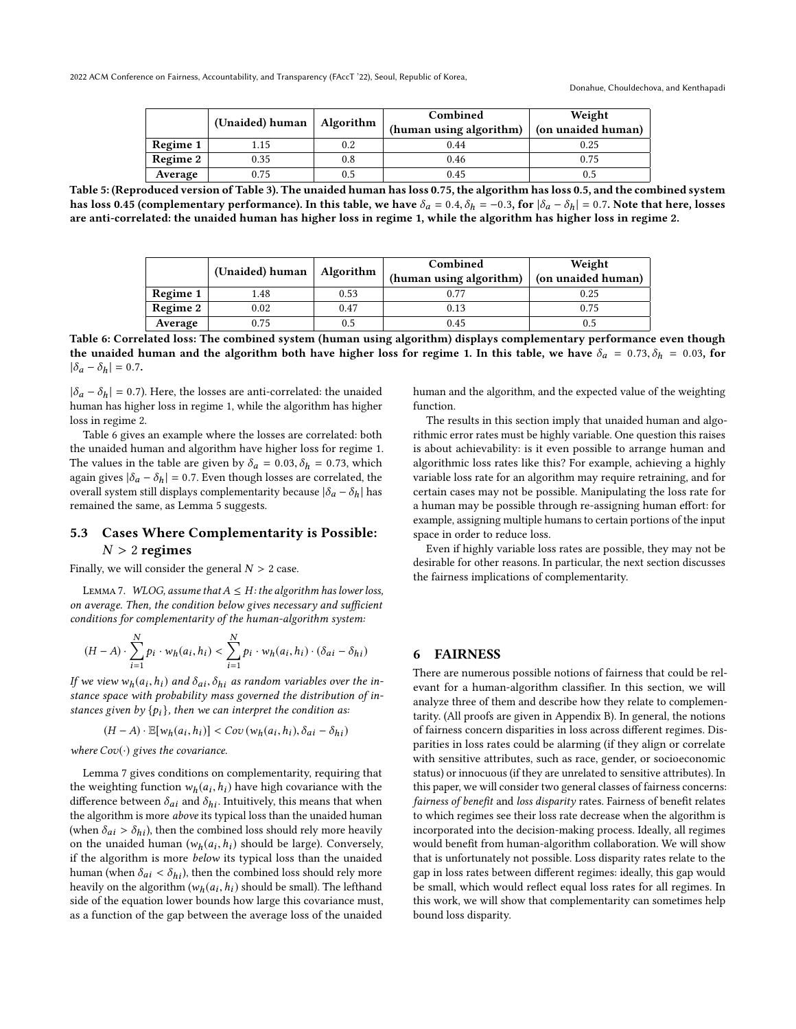<span id="page-7-1"></span>

|                 |                         |           | Combined                | Weight             |
|-----------------|-------------------------|-----------|-------------------------|--------------------|
|                 | (Unaided) human $\vert$ | Algorithm | (human using algorithm) | (on unaided human) |
| Regime 1        | 1.15                    | 0.2       | 0.44                    | 0.25               |
| <b>Regime 2</b> | 0.35                    | 0.8       | 0.46                    | 0.75               |
| Average         | 0.75                    | 0.5       | 0.45                    | 0.5                |

<span id="page-7-2"></span>Table 5: (Reproduced version of Table 3). The unaided human has loss 0.75, the algorithm has loss 0.5, and the combined system has loss 0.45 (complementary performance). In this table, we have  $\delta_a = 0.4$ ,  $\delta_h = -0.3$ , for  $|\delta_a - \delta_h| = 0.7$ . Note that here, losses are anti-correlated: the unaided human has higher loss in regime 1, while the algorithm has higher loss in regime 2.

|          | (Unaided) human |           | Combined                | Weight             |
|----------|-----------------|-----------|-------------------------|--------------------|
|          |                 | Algorithm | (human using algorithm) | (on unaided human) |
| Regime 1 | 1.48            | 0.53      | 0.77                    | 0.25               |
| Regime 2 | 0.02            | 0.47      | 0.13                    | 0.75               |
| Average  | 0.75            | 0.5       | 0.45                    | 0.5                |

Table 6: Correlated loss: The combined system (human using algorithm) displays complementary performance even though the unaided human and the algorithm both have higher loss for regime 1. In this table, we have  $\delta_a = 0.73$ ,  $\delta_h = 0.03$ , for  $|\delta_a - \delta_h| = 0.7$ .

 $|\delta_a - \delta_h| = 0.7$ ). Here, the losses are anti-correlated: the unaided human has higher loss in regime 1, while the algorithm has higher loss in regime 2.

Table [6](#page-7-2) gives an example where the losses are correlated: both the unaided human and algorithm have higher loss for regime 1. The values in the table are given by  $\delta_a = 0.03, \delta_h = 0.73$ , which again gives  $|\delta_a - \delta_h| = 0.7$ . Even though losses are correlated, the overall system still displays complementarity because  $|\delta_a - \delta_h|$  has remained the same, as Lemma [5](#page-6-1) suggests.

# 5.3 Cases Where Complementarity is Possible:  $N > 2$  regimes

Finally, we will consider the general  $N > 2$  case.

<span id="page-7-3"></span>LEMMA 7. WLOG, assume that  $A \leq H$ : the algorithm has lower loss, on average. Then, the condition below gives necessary and sufficient conditions for complementarity of the human-algorithm system:

$$
(H-A)\cdot \sum_{i=1}^N p_i \cdot w_h(a_i,h_i) < \sum_{i=1}^N p_i \cdot w_h(a_i,h_i) \cdot (\delta_{ai}-\delta_{hi})
$$

If we view  $w_h(a_i, h_i)$  and  $\delta_{ai}, \delta_{hi}$  as random variables over the in-<br>stance space with probability mass governed the distribution of instance space with probability mass governed the distribution of instances given by  $\{p_i\}$ , then we can interpret the condition as:

$$
(H-A)\cdot \mathbb{E}[w_h(a_i,h_i)] < Cov(w_h(a_i,h_i),\delta_{ai}-\delta_{hi})
$$

where  $Cov(\cdot)$  gives the covariance.

Lemma [7](#page-7-3) gives conditions on complementarity, requiring that the weighting function  $w_h(a_i, h_i)$  have high covariance with the difference between  $\delta$  and  $\delta$ . Intuitively this means that when difference between  $\delta_{ai}$  and  $\delta_{hi}$ . Intuitively, this means that when the algorithm is more *above* its typical loss than the unaided human (when  $\delta_{ai} > \delta_{hi}$ ), then the combined loss should rely more heavily on the unaided human  $(w_h(a_i, h_i))$  should be large). Conversely, if the algorithm is more *helow* its typical loss than the unaided if the algorithm is more below its typical loss than the unaided human (when  $\delta_{ai} < \delta_{hi}$ ), then the combined loss should rely more heavily on the algorithm  $(w_h(a_i, h_i))$  should be small). The lefthand<br>side of the equation lower bounds how large this covariance must side of the equation lower bounds how large this covariance must, as a function of the gap between the average loss of the unaided

human and the algorithm, and the expected value of the weighting function.

The results in this section imply that unaided human and algorithmic error rates must be highly variable. One question this raises is about achievability: is it even possible to arrange human and algorithmic loss rates like this? For example, achieving a highly variable loss rate for an algorithm may require retraining, and for certain cases may not be possible. Manipulating the loss rate for a human may be possible through re-assigning human effort: for example, assigning multiple humans to certain portions of the input space in order to reduce loss.

Even if highly variable loss rates are possible, they may not be desirable for other reasons. In particular, the next section discusses the fairness implications of complementarity.

### <span id="page-7-0"></span>6 FAIRNESS

There are numerous possible notions of fairness that could be relevant for a human-algorithm classifier. In this section, we will analyze three of them and describe how they relate to complementarity. (All proofs are given in Appendix [B\)](#page-11-1). In general, the notions of fairness concern disparities in loss across different regimes. Disparities in loss rates could be alarming (if they align or correlate with sensitive attributes, such as race, gender, or socioeconomic status) or innocuous (if they are unrelated to sensitive attributes). In this paper, we will consider two general classes of fairness concerns: fairness of benefit and loss disparity rates. Fairness of benefit relates to which regimes see their loss rate decrease when the algorithm is incorporated into the decision-making process. Ideally, all regimes would benefit from human-algorithm collaboration. We will show that is unfortunately not possible. Loss disparity rates relate to the gap in loss rates between different regimes: ideally, this gap would be small, which would reflect equal loss rates for all regimes. In this work, we will show that complementarity can sometimes help bound loss disparity.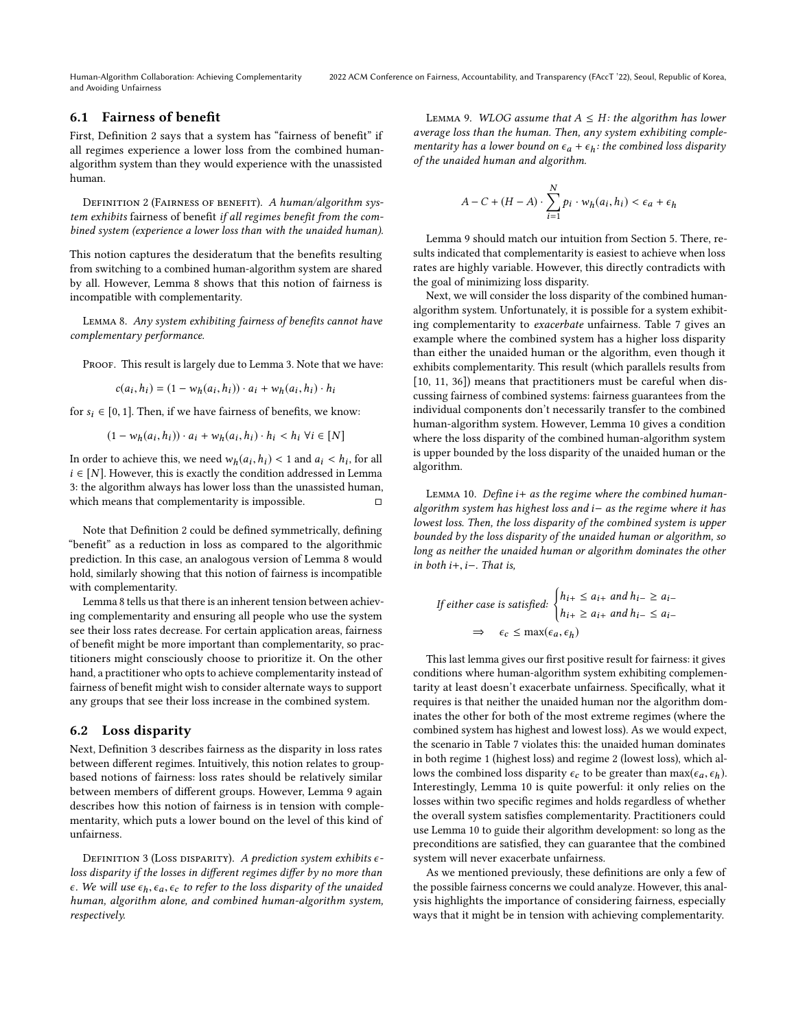# 6.1 Fairness of benefit

First, Definition [2](#page-8-0) says that a system has "fairness of benefit" if all regimes experience a lower loss from the combined humanalgorithm system than they would experience with the unassisted human.

<span id="page-8-0"></span>DEFINITION 2 (FAIRNESS OF BENEFIT). A human/algorithm system exhibits fairness of benefit if all regimes benefit from the combined system (experience a lower loss than with the unaided human).

This notion captures the desideratum that the benefits resulting from switching to a combined human-algorithm system are shared by all. However, Lemma [8](#page-8-1) shows that this notion of fairness is incompatible with complementarity.

<span id="page-8-1"></span>Lemma 8. Any system exhibiting fairness of benefits cannot have complementary performance.

PROOF. This result is largely due to Lemma [3.](#page-5-2) Note that we have:

$$
c(a_i,h_i)=(1-w_h(a_i,h_i))\cdot a_i+w_h(a_i,h_i)\cdot h_i
$$

for  $s_i \in [0, 1]$ . Then, if we have fairness of benefits, we know:

$$
(1 - w_h(a_i, h_i)) \cdot a_i + w_h(a_i, h_i) \cdot h_i < h_i \,\forall i \in [N]
$$

In order to achieve this, we need  $w_h(a_i, h_i) < 1$  and  $a_i < h_i$ , for all  $i \in [N]$ . However, this is exactly the condition addressed in I amma  $i \in [N]$ . However, this is exactly the condition addressed in Lemma [3:](#page-5-2) the algorithm always has lower loss than the unassisted human, which means that complementarity is impossible.  $□$ 

Note that Definition [2](#page-8-0) could be defined symmetrically, defining "benefit" as a reduction in loss as compared to the algorithmic prediction. In this case, an analogous version of Lemma [8](#page-8-1) would hold, similarly showing that this notion of fairness is incompatible with complementarity.

Lemma [8](#page-8-1) tells us that there is an inherent tension between achieving complementarity and ensuring all people who use the system see their loss rates decrease. For certain application areas, fairness of benefit might be more important than complementarity, so practitioners might consciously choose to prioritize it. On the other hand, a practitioner who opts to achieve complementarity instead of fairness of benefit might wish to consider alternate ways to support any groups that see their loss increase in the combined system.

### 6.2 Loss disparity

Next, Definition [3](#page-8-2) describes fairness as the disparity in loss rates between different regimes. Intuitively, this notion relates to groupbased notions of fairness: loss rates should be relatively similar between members of different groups. However, Lemma [9](#page-8-3) again describes how this notion of fairness is in tension with complementarity, which puts a lower bound on the level of this kind of unfairness.

<span id="page-8-2"></span>DEFINITION 3 (LOSS DISPARITY). A prediction system exhibits  $\epsilon$ loss disparity if the losses in different regimes differ by no more than  $\epsilon$ . We will use  $\epsilon_h$ ,  $\epsilon_a$ ,  $\epsilon_c$  to refer to the loss disparity of the unaided human, algorithm alone, and combined human-algorithm system, respectively.

<span id="page-8-3"></span>LEMMA 9. WLOG assume that  $A \leq H$ : the algorithm has lower average loss than the human. Then, any system exhibiting complementarity has a lower bound on  $\epsilon_a + \epsilon_h$ : the combined loss disparity of the unaided human and algorithm.

$$
A-C+(H-A)\cdot \sum_{i=1}^N p_i \cdot w_h(a_i,h_i) < \epsilon_a + \epsilon_h
$$

Lemma [9](#page-8-3) should match our intuition from Section [5.](#page-5-0) There, results indicated that complementarity is easiest to achieve when loss rates are highly variable. However, this directly contradicts with the goal of minimizing loss disparity.

Next, we will consider the loss disparity of the combined humanalgorithm system. Unfortunately, it is possible for a system exhibiting complementarity to exacerbate unfairness. Table [7](#page-9-22) gives an example where the combined system has a higher loss disparity than either the unaided human or the algorithm, even though it exhibits complementarity. This result (which parallels results from [\[10,](#page-9-18) [11,](#page-9-19) [36\]](#page-10-13)) means that practitioners must be careful when discussing fairness of combined systems: fairness guarantees from the individual components don't necessarily transfer to the combined human-algorithm system. However, Lemma [10](#page-8-4) gives a condition where the loss disparity of the combined human-algorithm system is upper bounded by the loss disparity of the unaided human or the algorithm.

<span id="page-8-4"></span>LEMMA 10. Define  $i+$  as the regime where the combined humanalgorithm system has highest loss and i<sup>−</sup> as the regime where it has lowest loss. Then, the loss disparity of the combined system is upper bounded by the loss disparity of the unaided human or algorithm, so long as neither the unaided human or algorithm dominates the other in both  $i+$ ,  $i-$ . That is,

If either case is satisfied: 
$$
\begin{cases} h_{i+} \le a_{i+} \text{ and } h_{i-} \ge a_{i-} \\ h_{i+} \ge a_{i+} \text{ and } h_{i-} \le a_{i-} \end{cases}
$$

$$
\Rightarrow \epsilon_c \le \max(\epsilon_a, \epsilon_h)
$$

This last lemma gives our first positive result for fairness: it gives conditions where human-algorithm system exhibiting complementarity at least doesn't exacerbate unfairness. Specifically, what it requires is that neither the unaided human nor the algorithm dominates the other for both of the most extreme regimes (where the combined system has highest and lowest loss). As we would expect, the scenario in Table [7](#page-9-22) violates this: the unaided human dominates in both regime 1 (highest loss) and regime 2 (lowest loss), which allows the combined loss disparity  $\epsilon_c$  to be greater than  $\max(\epsilon_a, \epsilon_h)$ . Interestingly, Lemma [10](#page-8-4) is quite powerful: it only relies on the losses within two specific regimes and holds regardless of whether the overall system satisfies complementarity. Practitioners could use Lemma [10](#page-8-4) to guide their algorithm development: so long as the preconditions are satisfied, they can guarantee that the combined system will never exacerbate unfairness.

As we mentioned previously, these definitions are only a few of the possible fairness concerns we could analyze. However, this analysis highlights the importance of considering fairness, especially ways that it might be in tension with achieving complementarity.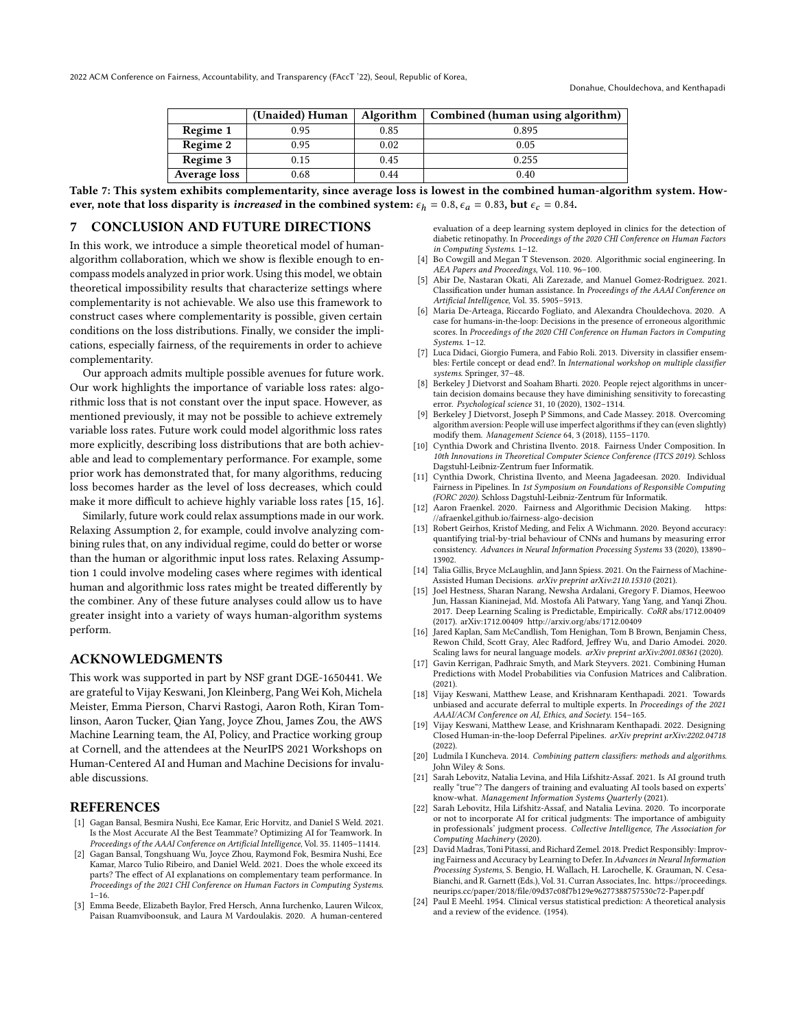|              | (Unaided) Human | Algorithm | Combined (human using algorithm) |
|--------------|-----------------|-----------|----------------------------------|
| Regime 1     | 0.95            | 0.85      | 0.895                            |
| Regime 2     | 0.95            | 0.02      | 0.05                             |
| Regime 3     | 0.15            | 0.45      | 0.255                            |
| Average loss | 0.68            | 0.44      | 0.40                             |

<span id="page-9-22"></span>Table 7: This system exhibits complementarity, since average loss is lowest in the combined human-algorithm system. However, note that loss disparity is increased in the combined system:  $\epsilon_h = 0.8$ ,  $\epsilon_a = 0.83$ , but  $\epsilon_c = 0.84$ .

# 7 CONCLUSION AND FUTURE DIRECTIONS

In this work, we introduce a simple theoretical model of humanalgorithm collaboration, which we show is flexible enough to encompass models analyzed in prior work. Using this model, we obtain theoretical impossibility results that characterize settings where complementarity is not achievable. We also use this framework to construct cases where complementarity is possible, given certain conditions on the loss distributions. Finally, we consider the implications, especially fairness, of the requirements in order to achieve complementarity.

Our approach admits multiple possible avenues for future work. Our work highlights the importance of variable loss rates: algorithmic loss that is not constant over the input space. However, as mentioned previously, it may not be possible to achieve extremely variable loss rates. Future work could model algorithmic loss rates more explicitly, describing loss distributions that are both achievable and lead to complementary performance. For example, some prior work has demonstrated that, for many algorithms, reducing loss becomes harder as the level of loss decreases, which could make it more difficult to achieve highly variable loss rates [\[15,](#page-9-23) [16\]](#page-9-24).

Similarly, future work could relax assumptions made in our work. Relaxing Assumption [2,](#page-3-1) for example, could involve analyzing combining rules that, on any individual regime, could do better or worse than the human or algorithmic input loss rates. Relaxing Assumption [1](#page-2-2) could involve modeling cases where regimes with identical human and algorithmic loss rates might be treated differently by the combiner. Any of these future analyses could allow us to have greater insight into a variety of ways human-algorithm systems perform.

# ACKNOWLEDGMENTS

This work was supported in part by NSF grant DGE-1650441. We are grateful to Vijay Keswani, Jon Kleinberg, Pang Wei Koh, Michela Meister, Emma Pierson, Charvi Rastogi, Aaron Roth, Kiran Tomlinson, Aaron Tucker, Qian Yang, Joyce Zhou, James Zou, the AWS Machine Learning team, the AI, Policy, and Practice working group at Cornell, and the attendees at the NeurIPS 2021 Workshops on Human-Centered AI and Human and Machine Decisions for invaluable discussions.

# **REFERENCES**

- <span id="page-9-0"></span>[1] Gagan Bansal, Besmira Nushi, Ece Kamar, Eric Horvitz, and Daniel S Weld. 2021. Is the Most Accurate AI the Best Teammate? Optimizing AI for Teamwork. In Proceedings of the AAAI Conference on Artificial Intelligence, Vol. 35. 11405–11414.
- <span id="page-9-2"></span>[2] Gagan Bansal, Tongshuang Wu, Joyce Zhou, Raymond Fok, Besmira Nushi, Ece Kamar, Marco Tulio Ribeiro, and Daniel Weld. 2021. Does the whole exceed its parts? The effect of AI explanations on complementary team performance. In Proceedings of the 2021 CHI Conference on Human Factors in Computing Systems.  $1 - 16$ .
- <span id="page-9-7"></span>[3] Emma Beede, Elizabeth Baylor, Fred Hersch, Anna Iurchenko, Lauren Wilcox, Paisan Ruamviboonsuk, and Laura M Vardoulakis. 2020. A human-centered

evaluation of a deep learning system deployed in clinics for the detection of diabetic retinopathy. In Proceedings of the 2020 CHI Conference on Human Factors in Computing Systems. 1–12.

- <span id="page-9-10"></span>[4] Bo Cowgill and Megan T Stevenson. 2020. Algorithmic social engineering. In AEA Papers and Proceedings, Vol. 110. 96–100.
- <span id="page-9-11"></span>[5] Abir De, Nastaran Okati, Ali Zarezade, and Manuel Gomez-Rodriguez. 2021. Classification under human assistance. In Proceedings of the AAAI Conference on Artificial Intelligence, Vol. 35. 5905–5913.
- <span id="page-9-8"></span>[6] Maria De-Arteaga, Riccardo Fogliato, and Alexandra Chouldechova. 2020. A case for humans-in-the-loop: Decisions in the presence of erroneous algorithmic scores. In Proceedings of the 2020 CHI Conference on Human Factors in Computing Systems. 1–12.
- <span id="page-9-17"></span>[7] Luca Didaci, Giorgio Fumera, and Fabio Roli. 2013. Diversity in classifier ensembles: Fertile concept or dead end?. In International workshop on multiple classifier systems. Springer, 37–48.
- <span id="page-9-3"></span>Berkeley J Dietvorst and Soaham Bharti. 2020. People reject algorithms in uncertain decision domains because they have diminishing sensitivity to forecasting error. Psychological science 31, 10 (2020), 1302–1314.
- <span id="page-9-4"></span>[9] Berkeley J Dietvorst, Joseph P Simmons, and Cade Massey. 2018. Overcoming algorithm aversion: People will use imperfect algorithms if they can (even slightly) modify them. Management Science 64, 3 (2018), 1155–1170.
- <span id="page-9-18"></span>[10] Cynthia Dwork and Christina Ilvento. 2018. Fairness Under Composition. In 10th Innovations in Theoretical Computer Science Conference (ITCS 2019). Schloss Dagstuhl-Leibniz-Zentrum fuer Informatik.
- <span id="page-9-19"></span>[11] Cynthia Dwork, Christina Ilvento, and Meena Jagadeesan. 2020. Individual Fairness in Pipelines. In 1st Symposium on Foundations of Responsible Computing (FORC 2020). Schloss Dagstuhl-Leibniz-Zentrum für Informatik.
- <span id="page-9-21"></span>[12] Aaron Fraenkel. 2020. Fairness and Algorithmic Decision Making. [https:](https://afraenkel.github.io/fairness-algo-decision) [//afraenkel.github.io/fairness-algo-decision](https://afraenkel.github.io/fairness-algo-decision)
- <span id="page-9-9"></span>[13] Robert Geirhos, Kristof Meding, and Felix A Wichmann. 2020. Beyond accuracy: quantifying trial-by-trial behaviour of CNNs and humans by measuring error consistency. Advances in Neural Information Processing Systems 33 (2020), 13890– 13902.
- <span id="page-9-15"></span>[14] Talia Gillis, Bryce McLaughlin, and Jann Spiess. 2021. On the Fairness of Machine-Assisted Human Decisions. arXiv preprint arXiv:2110.15310 (2021).
- <span id="page-9-23"></span>[15] Joel Hestness, Sharan Narang, Newsha Ardalani, Gregory F. Diamos, Heewoo Jun, Hassan Kianinejad, Md. Mostofa Ali Patwary, Yang Yang, and Yanqi Zhou. 2017. Deep Learning Scaling is Predictable, Empirically. CoRR abs/1712.00409 (2017). arXiv[:1712.00409](https://arxiv.org/abs/1712.00409)<http://arxiv.org/abs/1712.00409>
- <span id="page-9-24"></span>[16] Jared Kaplan, Sam McCandlish, Tom Henighan, Tom B Brown, Benjamin Chess, Rewon Child, Scott Gray, Alec Radford, Jeffrey Wu, and Dario Amodei. 2020. Scaling laws for neural language models. arXiv preprint arXiv:2001.08361 (2020).
- <span id="page-9-1"></span>[17] Gavin Kerrigan, Padhraic Smyth, and Mark Steyvers. 2021. Combining Human Predictions with Model Probabilities via Confusion Matrices and Calibration.  $(2021)$
- <span id="page-9-13"></span>[18] Vijay Keswani, Matthew Lease, and Krishnaram Kenthapadi. 2021. Towards unbiased and accurate deferral to multiple experts. In Proceedings of the 2021 AAAI/ACM Conference on AI, Ethics, and Society. 154–165.
- <span id="page-9-14"></span>[19] Vijay Keswani, Matthew Lease, and Krishnaram Kenthapadi. 2022. Designing Closed Human-in-the-loop Deferral Pipelines. arXiv preprint arXiv:2202.04718 (2022).
- <span id="page-9-16"></span>[20] Ludmila I Kuncheva. 2014. Combining pattern classifiers: methods and algorithms. John Wiley & Sons.
- <span id="page-9-5"></span>[21] Sarah Lebovitz, Natalia Levina, and Hila Lifshitz-Assaf. 2021. Is AI ground truth really "true"? The dangers of training and evaluating AI tools based on experts' know-what. Management Information Systems Quarterly (2021).
- <span id="page-9-6"></span>[22] Sarah Lebovitz, Hila Lifshitz-Assaf, and Natalia Levina. 2020. To incorporate or not to incorporate AI for critical judgments: The importance of ambiguity in professionals' judgment process. Collective Intelligence, The Association for Computing Machinery (2020).
- <span id="page-9-12"></span>[23] David Madras, Toni Pitassi, and Richard Zemel. 2018. Predict Responsibly: Improving Fairness and Accuracy by Learning to Defer. In Advances in Neural Information Processing Systems, S. Bengio, H. Wallach, H. Larochelle, K. Grauman, N. Cesa-Bianchi, and R. Garnett (Eds.), Vol. 31. Curran Associates, Inc. [https://proceedings.](https://proceedings.neurips.cc/paper/2018/file/09d37c08f7b129e96277388757530c72-Paper.pdf) [neurips.cc/paper/2018/file/09d37c08f7b129e96277388757530c72-Paper.pdf](https://proceedings.neurips.cc/paper/2018/file/09d37c08f7b129e96277388757530c72-Paper.pdf)
- <span id="page-9-20"></span>[24] Paul E Meehl. 1954. Clinical versus statistical prediction: A theoretical analysis and a review of the evidence. (1954).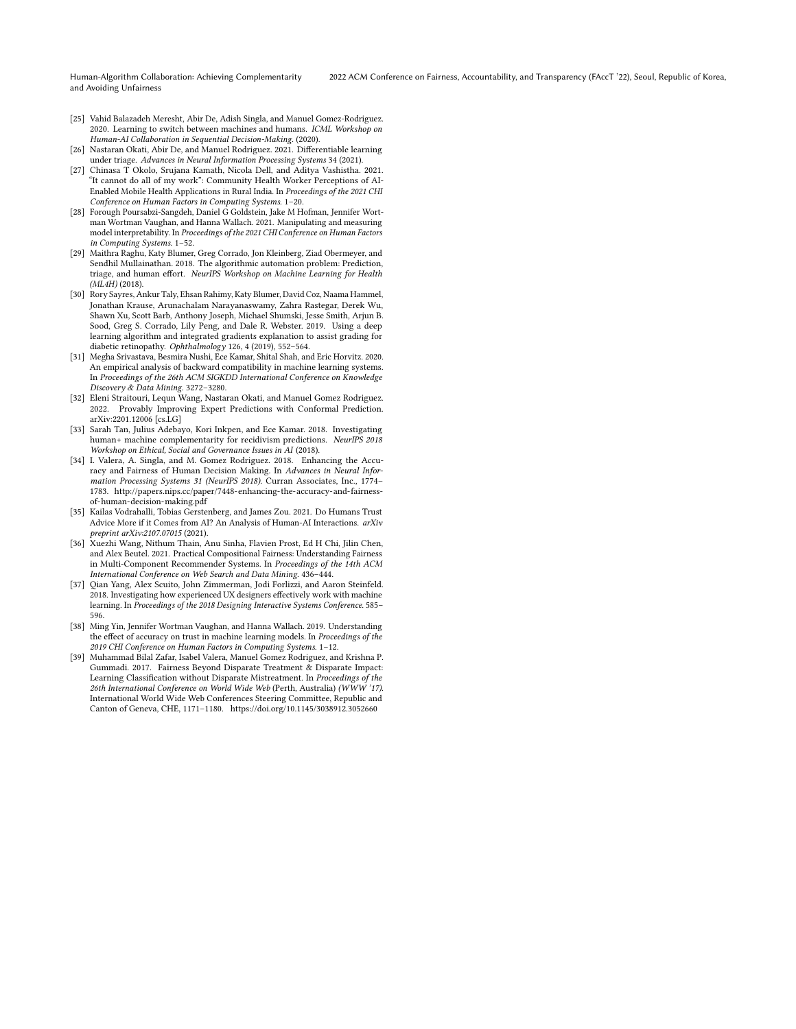- <span id="page-10-9"></span>[25] Vahid Balazadeh Meresht, Abir De, Adish Singla, and Manuel Gomez-Rodriguez. 2020. Learning to switch between machines and humans. ICML Workshop on Human-AI Collaboration in Sequential Decision-Making. (2020).
- <span id="page-10-10"></span>[26] Nastaran Okati, Abir De, and Manuel Rodriguez. 2021. Differentiable learning under triage. Advances in Neural Information Processing Systems 34 (2021).
- <span id="page-10-3"></span>[27] Chinasa T Okolo, Srujana Kamath, Nicola Dell, and Aditya Vashistha. 2021. "It cannot do all of my work": Community Health Worker Perceptions of AI-Enabled Mobile Health Applications in Rural India. In Proceedings of the 2021 CHI Conference on Human Factors in Computing Systems. 1–20.
- <span id="page-10-2"></span>[28] Forough Poursabzi-Sangdeh, Daniel G Goldstein, Jake M Hofman, Jennifer Wortman Wortman Vaughan, and Hanna Wallach. 2021. Manipulating and measuring model interpretability. In Proceedings of the 2021 CHI Conference on Human Factors in Computing Systems. 1–52.
- <span id="page-10-5"></span>[29] Maithra Raghu, Katy Blumer, Greg Corrado, Jon Kleinberg, Ziad Obermeyer, and Sendhil Mullainathan. 2018. The algorithmic automation problem: Prediction, triage, and human effort. NeurIPS Workshop on Machine Learning for Health (ML4H) (2018).
- <span id="page-10-7"></span>[30] Rory Sayres, Ankur Taly, Ehsan Rahimy, Katy Blumer, David Coz, Naama Hammel, Jonathan Krause, Arunachalam Narayanaswamy, Zahra Rastegar, Derek Wu, Shawn Xu, Scott Barb, Anthony Joseph, Michael Shumski, Jesse Smith, Arjun B. Sood, Greg S. Corrado, Lily Peng, and Dale R. Webster. 2019. Using a deep learning algorithm and integrated gradients explanation to assist grading for diabetic retinopathy. Ophthalmology 126, 4 (2019), 552–564.
- <span id="page-10-8"></span>[31] Megha Srivastava, Besmira Nushi, Ece Kamar, Shital Shah, and Eric Horvitz. 2020. An empirical analysis of backward compatibility in machine learning systems. In Proceedings of the 26th ACM SIGKDD International Conference on Knowledge Discovery & Data Mining. 3272–3280.
- <span id="page-10-11"></span>[32] Eleni Straitouri, Lequn Wang, Nastaran Okati, and Manuel Gomez Rodriguez. 2022. Provably Improving Expert Predictions with Conformal Prediction. arXiv[:2201.12006](https://arxiv.org/abs/2201.12006) [cs.LG]
- <span id="page-10-6"></span>[33] Sarah Tan, Julius Adebayo, Kori Inkpen, and Ece Kamar. 2018. Investigating human+ machine complementarity for recidivism predictions. NeurIPS 2018 Workshop on Ethical, Social and Governance Issues in AI (2018).
- <span id="page-10-12"></span>[34] I. Valera, A. Singla, and M. Gomez Rodriguez. 2018. Enhancing the Accuracy and Fairness of Human Decision Making. In Advances in Neural Information Processing Systems 31 (NeurIPS 2018). Curran Associates, Inc., 1774– 1783. [http://papers.nips.cc/paper/7448-enhancing-the-accuracy-and-fairness](http://papers.nips.cc/paper/7448-enhancing-the-accuracy-and-fairness-of-human-decision-making.pdf)[of-human-decision-making.pdf](http://papers.nips.cc/paper/7448-enhancing-the-accuracy-and-fairness-of-human-decision-making.pdf)
- <span id="page-10-0"></span>[35] Kailas Vodrahalli, Tobias Gerstenberg, and James Zou. 2021. Do Humans Trust Advice More if it Comes from AI? An Analysis of Human-AI Interactions. arXiv preprint arXiv:2107.07015 (2021).
- <span id="page-10-13"></span>[36] Xuezhi Wang, Nithum Thain, Anu Sinha, Flavien Prost, Ed H Chi, Jilin Chen, and Alex Beutel. 2021. Practical Compositional Fairness: Understanding Fairness in Multi-Component Recommender Systems. In Proceedings of the 14th ACM International Conference on Web Search and Data Mining. 436–444.
- <span id="page-10-4"></span>[37] Qian Yang, Alex Scuito, John Zimmerman, Jodi Forlizzi, and Aaron Steinfeld. 2018. Investigating how experienced UX designers effectively work with machine learning. In Proceedings of the 2018 Designing Interactive Systems Conference. 585– 596.
- <span id="page-10-1"></span>[38] Ming Yin, Jennifer Wortman Vaughan, and Hanna Wallach. 2019. Understanding the effect of accuracy on trust in machine learning models. In Proceedings of the 2019 CHI Conference on Human Factors in Computing Systems. 1–12.
- <span id="page-10-14"></span>[39] Muhammad Bilal Zafar, Isabel Valera, Manuel Gomez Rodriguez, and Krishna P. Gummadi. 2017. Fairness Beyond Disparate Treatment & Disparate Impact: Learning Classification without Disparate Mistreatment. In Proceedings of the 26th International Conference on World Wide Web (Perth, Australia) (WWW '17). International World Wide Web Conferences Steering Committee, Republic and Canton of Geneva, CHE, 1171–1180.<https://doi.org/10.1145/3038912.3052660>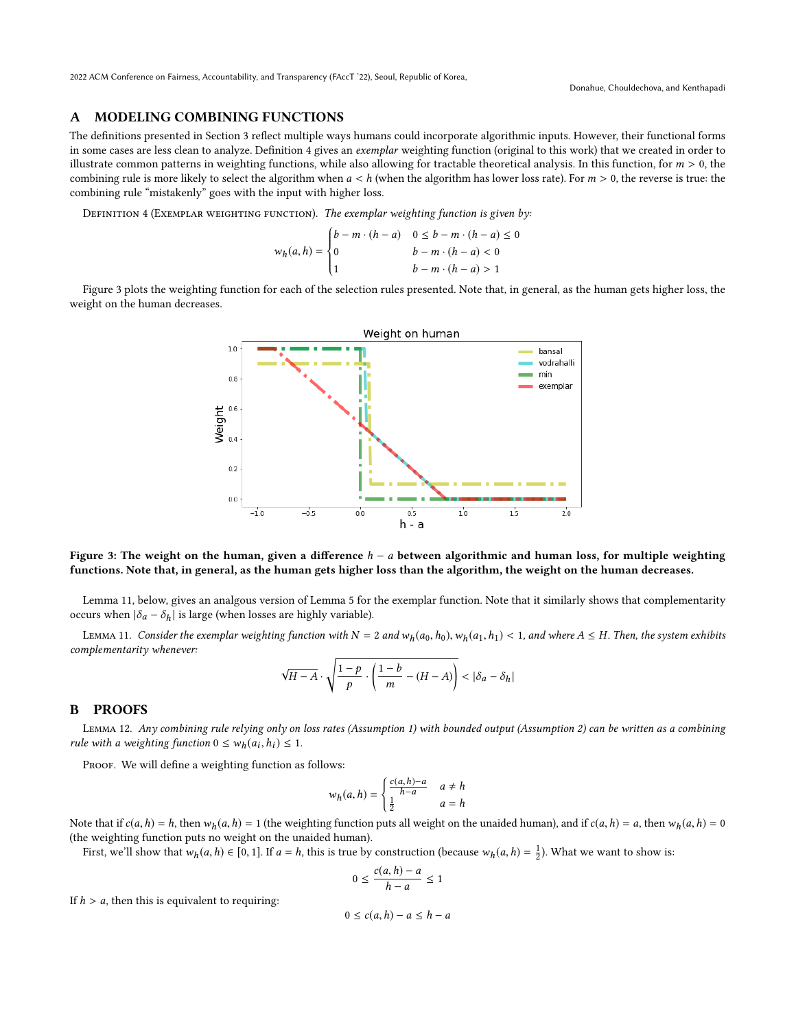# <span id="page-11-0"></span>A MODELING COMBINING FUNCTIONS

The definitions presented in Section [3](#page-2-0) reflect multiple ways humans could incorporate algorithmic inputs. However, their functional forms in some cases are less clean to analyze. Definition [4](#page-11-2) gives an exemplar weighting function (original to this work) that we created in order to illustrate common patterns in weighting functions, while also allowing for tractable theoretical analysis. In this function, for  $m > 0$ , the combining rule is more likely to select the algorithm when  $a < h$  (when the algorithm has lower loss rate). For  $m > 0$ , the reverse is true: the combining rule "mistakenly" goes with the input with higher loss.

<span id="page-11-2"></span>DEFINITION 4 (EXEMPLAR WEIGHTING FUNCTION). The exemplar weighting function is given by:

$$
w_h(a, h) = \begin{cases} b - m \cdot (h - a) & 0 \le b - m \cdot (h - a) \le 0 \\ 0 & b - m \cdot (h - a) < 0 \\ 1 & b - m \cdot (h - a) > 1 \end{cases}
$$

<span id="page-11-3"></span> Figure [3](#page-11-3) plots the weighting function for each of the selection rules presented. Note that, in general, as the human gets higher loss, the weight on the human decreases.



# Figure 3: The weight on the human, given a difference  $h - a$  between algorithmic and human loss, for multiple weighting functions. Note that, in general, as the human gets higher loss than the algorithm, the weight on the human decreases.

Lemma [11,](#page-11-4) below, gives an analgous version of Lemma [5](#page-6-1) for the exemplar function. Note that it similarly shows that complementarity occurs when  $|\delta_a - \delta_h|$  is large (when losses are highly variable).

<span id="page-11-4"></span>LEMMA 11. Consider the exemplar weighting function with  $N = 2$  and  $w_h(a_0, h_0)$ ,  $w_h(a_1, h_1) < 1$ , and where  $A \le H$ . Then, the system exhibits complementarity whenever:

$$
\sqrt{H-A}\cdot\sqrt{\frac{1-p}{p}\cdot\left(\frac{1-b}{m}-(H-A)\right)} < |\delta_a-\delta_h|
$$

### <span id="page-11-1"></span>B PROOFS

Lemma 12. Any combining rule relying only on loss rates (Assumption [1\)](#page-2-2) with bounded output (Assumption [2\)](#page-3-1) can be written as a combining rule with a weighting function  $0 \leq w_h(a_i, h_i) \leq 1$ .

PROOF. We will define a weighting function as follows:

$$
w_h(a, h) = \begin{cases} \frac{c(a, h) - a}{h - a} & a \neq h \\ \frac{1}{2} & a = h \end{cases}
$$

Note that if  $c(a, h) = h$ , then  $w_h(a, h) = 1$  (the weighting function puts all weight on the unaided human), and if  $c(a, h) = a$ , then  $w_h(a, h) = 0$ <br>(the weighting function puts no weight on the unaided human) (the weighting function puts no weight on the unaided human).

First, we'll show that  $w_h(a, h) \in [0, 1]$ . If  $a = h$ , this is true by construction (because  $w_h(a, h) = \frac{1}{2}$ ). What we want to show is:

$$
0 \le \frac{c(a,h)-a}{h-a} \le 1
$$

If  $h > a$ , then this is equivalent to requiring:

$$
0 \le c(a, h) - a \le h - a
$$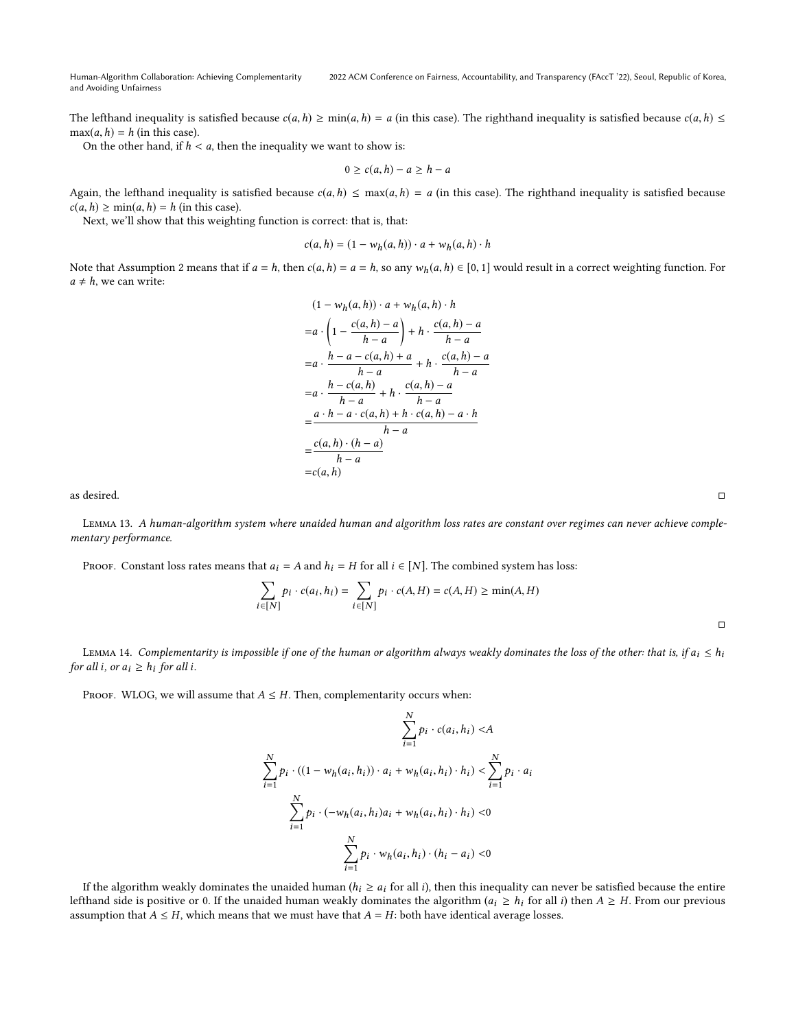# 2022 ACM Conference on Fairness, Accountability, and Transparency (FAccT '22), Seoul, Republic of Korea,

The lefthand inequality is satisfied because  $c(a, h) \ge \min(a, h) = a$  (in this case). The righthand inequality is satisfied because  $c(a, h) \le$  $max(a, h) = h$  (in this case).

On the other hand, if  $h < a$ , then the inequality we want to show is:

$$
0 \ge c(a, h) - a \ge h - a
$$

Again, the lefthand inequality is satisfied because  $c(a, h) \leq \max(a, h) = a$  (in this case). The righthand inequality is satisfied because  $c(a, h) \ge \min(a, h) = h$  (in this case).

Next, we'll show that this weighting function is correct: that is, that:

$$
c(a,h) = (1 - w_h(a,h)) \cdot a + w_h(a,h) \cdot h
$$

Note that Assumption [2](#page-3-1) means that if  $a = h$ , then  $c(a, h) = a = h$ , so any  $w_h(a, h) \in [0, 1]$  would result in a correct weighting function. For  $a \neq h$ , we can write:

$$
(1 - w_h(a, h)) \cdot a + w_h(a, h) \cdot h
$$
  
= $a \cdot \left(1 - \frac{c(a, h) - a}{h - a}\right) + h \cdot \frac{c(a, h) - a}{h - a}$   
= $a \cdot \frac{h - a - c(a, h) + a}{h - a} + h \cdot \frac{c(a, h) - a}{h - a}$   
= $a \cdot \frac{h - c(a, h)}{h - a} + h \cdot \frac{c(a, h) - a}{h - a}$   
= $\frac{a \cdot h - a \cdot c(a, h) + h \cdot c(a, h) - a \cdot h}{h - a}$   
= $\frac{c(a, h) \cdot (h - a)}{h - a}$   
= $c(a, h)$ 

as desired. □

Lemma 13. A human-algorithm system where unaided human and algorithm loss rates are constant over regimes can never achieve complementary performance.

PROOF. Constant loss rates means that  $a_i = A$  and  $h_i = H$  for all  $i \in [N]$ . The combined system has loss:

$$
\sum_{i \in [N]} p_i \cdot c(a_i, h_i) = \sum_{i \in [N]} p_i \cdot c(A, H) = c(A, H) \ge \min(A, H)
$$

LEMMA 14. Complementarity is impossible if one of the human or algorithm always weakly dominates the loss of the other: that is, if  $a_i \le h_i$ for all i, or  $a_i \geq h_i$  for all i.

PROOF. WLOG, we will assume that  $A \leq H$ . Then, complementarity occurs when:

$$
\sum_{i=1}^{N} p_i \cdot c(a_i, h_i) < A
$$
\n
$$
\sum_{i=1}^{N} p_i \cdot c(a_i, h_i) < A
$$
\n
$$
\sum_{i=1}^{N} p_i \cdot ((1 - w_h(a_i, h_i)) \cdot a_i + w_h(a_i, h_i) \cdot h_i) < \sum_{i=1}^{N} p_i \cdot a_i
$$
\n
$$
\sum_{i=1}^{N} p_i \cdot (w_h(a_i, h_i)a_i + w_h(a_i, h_i) \cdot h_i) < 0
$$
\n
$$
\sum_{i=1}^{N} p_i \cdot w_h(a_i, h_i) \cdot (h_i - a_i) < 0
$$

If the algorithm weakly dominates the unaided human ( $h_i \ge a_i$  for all i), then this inequality can never be satisfied because the entire lefthand side is positive or 0. If the unaided human weakly dominates the algorithm  $(a_i \geq h_i$  for all i) then  $A \geq H$ . From our previous assumption that  $A \leq H$ , which means that we must have that  $A = H$ : both have identical average losses.

□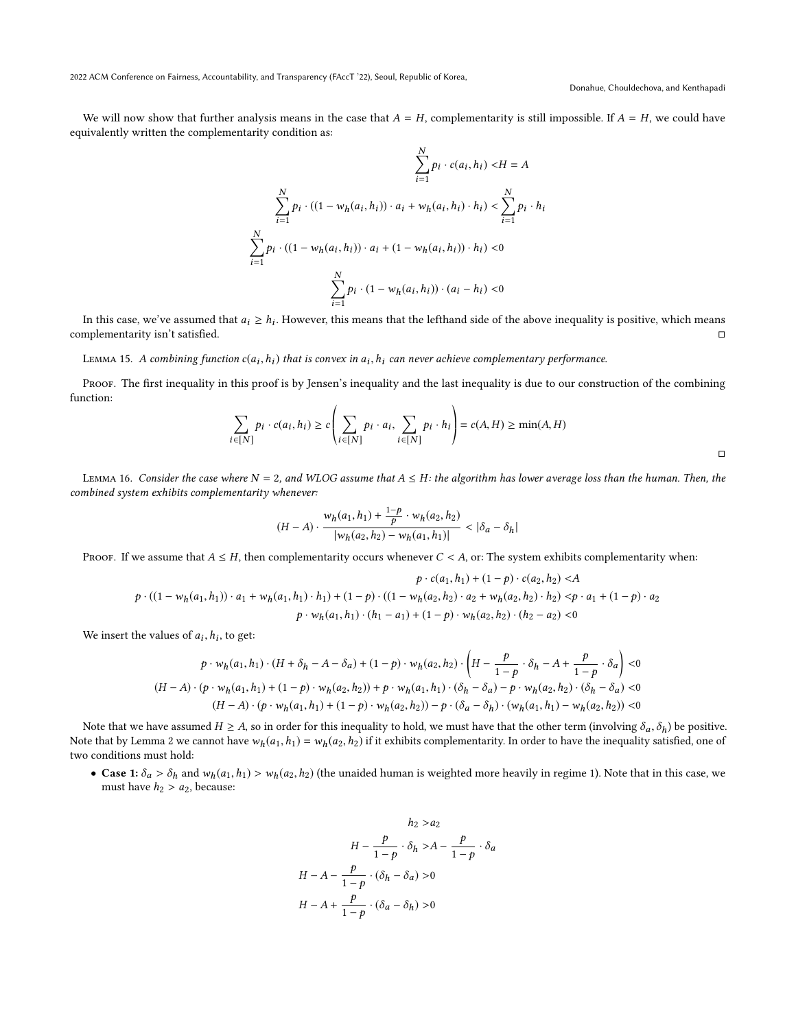Donahue, Chouldechova, and Kenthapadi

We will now show that further analysis means in the case that  $A = H$ , complementarity is still impossible. If  $A = H$ , we could have equivalently written the complementarity condition as:

$$
\sum_{i=1}^{N} p_i \cdot c(a_i, h_i) < H = A
$$
\n
$$
\sum_{i=1}^{N} p_i \cdot ((1 - w_h(a_i, h_i)) \cdot a_i + w_h(a_i, h_i) \cdot h_i) < \sum_{i=1}^{N} p_i \cdot h_i
$$
\n
$$
\sum_{i=1}^{N} p_i \cdot ((1 - w_h(a_i, h_i)) \cdot a_i + (1 - w_h(a_i, h_i)) \cdot h_i) < 0
$$
\n
$$
\sum_{i=1}^{N} p_i \cdot (1 - w_h(a_i, h_i)) \cdot (a_i - h_i) < 0
$$

In this case, we've assumed that  $a_i \geq h_i$ . However, this means that the lefthand side of the above inequality is positive, which means malementarity is it eatisfied complementarity isn't satisfied. □

LEMMA 15. A combining function  $c(a_i, h_i)$  that is convex in  $a_i, h_i$  can never achieve complementary performance.

PROOF. The first inequality in this proof is by Jensen's inequality and the last inequality is due to our construction of the combining function:  $\overline{1}$ 

$$
\sum_{i \in [N]} p_i \cdot c(a_i, h_i) \ge c \left( \sum_{i \in [N]} p_i \cdot a_i, \sum_{i \in [N]} p_i \cdot h_i \right) = c(A, H) \ge \min(A, H)
$$

LEMMA 16. Consider the case where  $N = 2$ , and WLOG assume that  $A \leq H$ : the algorithm has lower average loss than the human. Then, the combined system exhibits complementarity whenever:

$$
(H-A)\cdot \frac{w_h(a_1,h_1) + \frac{1-p}{p}\cdot w_h(a_2,h_2)}{|w_h(a_2,h_2) - w_h(a_1,h_1)|} < |\delta_a - \delta_h|
$$

PROOF. If we assume that  $A \leq H$ , then complementarity occurs whenever  $C < A$ , or: The system exhibits complementarity when:

$$
p \cdot c(a_1, h_1) + (1 - p) \cdot c(a_2, h_2) < A
$$
\n
$$
p \cdot ((1 - w_h(a_1, h_1)) \cdot a_1 + w_h(a_1, h_1) \cdot h_1) + (1 - p) \cdot ((1 - w_h(a_2, h_2) \cdot a_2 + w_h(a_2, h_2) \cdot h_2) < p \cdot a_1 + (1 - p) \cdot a_2
$$
\n
$$
p \cdot w_h(a_1, h_1) \cdot (h_1 - a_1) + (1 - p) \cdot w_h(a_2, h_2) \cdot (h_2 - a_2) < 0
$$

We insert the values of  $a_i, h_i$ , to get:

$$
p \cdot w_h(a_1, h_1) \cdot (H + \delta_h - A - \delta_a) + (1 - p) \cdot w_h(a_2, h_2) \cdot \left( H - \frac{p}{1 - p} \cdot \delta_h - A + \frac{p}{1 - p} \cdot \delta_a \right) < 0
$$
\n
$$
(H - A) \cdot (p \cdot w_h(a_1, h_1) + (1 - p) \cdot w_h(a_2, h_2)) + p \cdot w_h(a_1, h_1) \cdot (\delta_h - \delta_a) - p \cdot w_h(a_2, h_2) \cdot (\delta_h - \delta_a) < 0
$$
\n
$$
(H - A) \cdot (p \cdot w_h(a_1, h_1) + (1 - p) \cdot w_h(a_2, h_2)) - p \cdot (\delta_a - \delta_h) \cdot (w_h(a_1, h_1) - w_h(a_2, h_2)) < 0
$$

Note that we have assumed  $H \ge A$ , so in order for this inequality to hold, we must have that the other term (involving  $\delta_a$ ,  $\delta_b$ ) be positive. Note that by Lemma [2](#page-5-1) we cannot have  $w_h(a_1, h_1) = w_h(a_2, h_2)$  if it exhibits complementarity. In order to have the inequality satisfied, one of two conditions must hold:

• Case 1:  $\delta_a > \delta_h$  and  $w_h(a_1, h_1) > w_h(a_2, h_2)$  (the unaided human is weighted more heavily in regime 1). Note that in this case, we must have  $h_2 > a_2$ , because:

$$
h_2 > a_2
$$
  
\n
$$
H - \frac{p}{1-p} \cdot \delta_h > A - \frac{p}{1-p} \cdot \delta_a
$$
  
\n
$$
H - A - \frac{p}{1-p} \cdot (\delta_h - \delta_a) > 0
$$
  
\n
$$
H - A + \frac{p}{1-p} \cdot (\delta_a - \delta_h) > 0
$$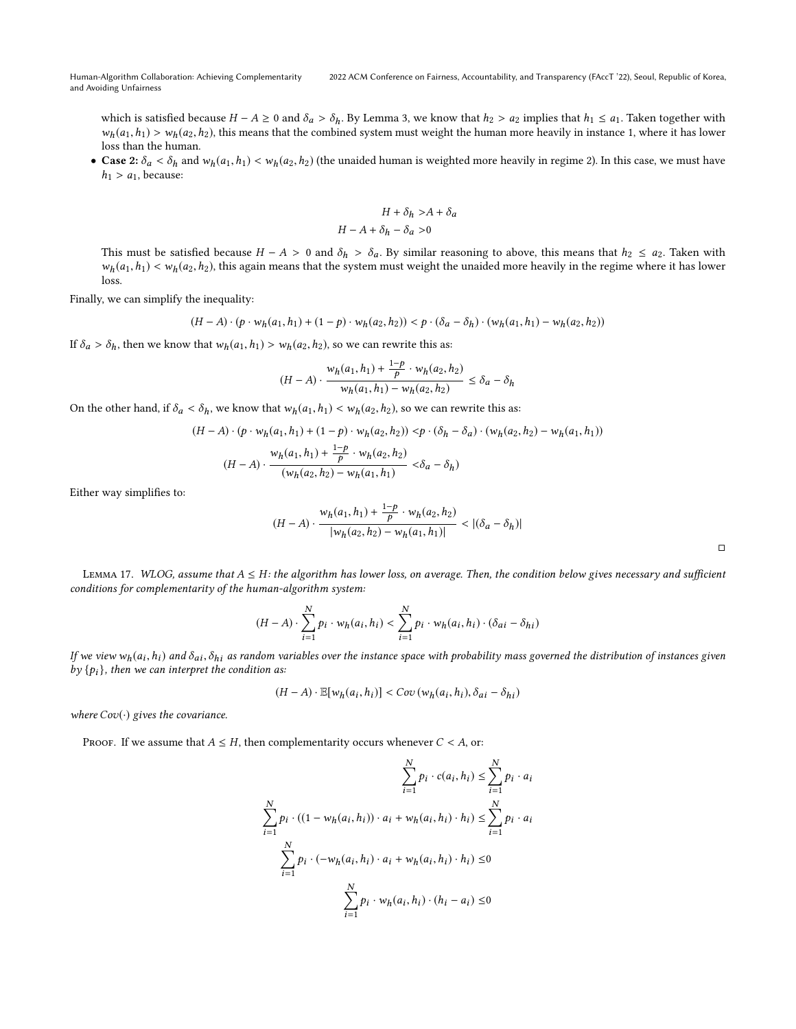which is satisfied because  $H - A \ge 0$  and  $\delta_a > \delta_h$ . By Lemma [3,](#page-5-2) we know that  $h_2 > a_2$  implies that  $h_1 \le a_1$ . Taken together with  $w_h(a_1,h_1) > w_h(a_2,h_2)$ , this means that the combined system must weight the human more heavily in instance 1, where it has lower loss than the human.

• Case 2:  $\delta_a < \delta_h$  and  $w_h(a_1, h_1) < w_h(a_2, h_2)$  (the unaided human is weighted more heavily in regime 2). In this case, we must have  $h_1 > a_1$ , because:

$$
H + \delta_h > A + \delta_a
$$

$$
H - A + \delta_h - \delta_a > 0
$$

This must be satisfied because  $H - A > 0$  and  $\delta_h > \delta_a$ . By similar reasoning to above, this means that  $h_2 \le a_2$ . Taken with  $w_h(a_1,h_1) < w_h(a_2,h_2)$ , this again means that the system must weight the unaided more heavily in the regime where it has lower loss.

Finally, we can simplify the inequality:

$$
(H-A)\cdot (p\cdot w_h(a_1,h_1)+(1-p)\cdot w_h(a_2,h_2)) < p\cdot (\delta_a-\delta_h)\cdot (w_h(a_1,h_1)-w_h(a_2,h_2))
$$

If  $\delta_a > \delta_h$ , then we know that  $w_h(a_1, h_1) > w_h(a_2, h_2)$ , so we can rewrite this as:

$$
(H-A)\cdot \frac{w_h(a_1,h_1) + \frac{1-p}{p}\cdot w_h(a_2,h_2)}{w_h(a_1,h_1) - w_h(a_2,h_2)} \leq \delta_a - \delta_h
$$

On the other hand, if  $\delta_a < \delta_h$ , we know that  $w_h(a_1, h_1) < w_h(a_2, h_2)$ , so we can rewrite this as:<br>  $(H - A) \cdot (p \cdot w_h(a_1, h_1) + (1 - p) \cdot w_h(a_2, h_2)) < p \cdot (\delta_h - \delta_a) \cdot (w_h(a_2, h_2))$ 

$$
(H - A) \cdot (p \cdot w_h(a_1, h_1) + (1 - p) \cdot w_h(a_2, h_2)) \langle p \cdot (\delta_h - \delta_a) \cdot (w_h(a_2, h_2) - w_h(a_1, h_1)) \rangle
$$
  

$$
(H - A) \cdot \frac{w_h(a_1, h_1) + \frac{1 - p}{p} \cdot w_h(a_2, h_2)}{(w_h(a_2, h_2) - w_h(a_1, h_1)} < \delta_a - \delta_h)
$$

Either way simplifies to:

$$
(H-A)\cdot \frac{w_h(a_1,h_1)+\frac{1-p}{p}\cdot w_h(a_2,h_2)}{|w_h(a_2,h_2)-w_h(a_1,h_1)|}< |(\delta_a-\delta_h)|
$$

LEMMA 17. WLOG, assume that  $A \leq H$ : the algorithm has lower loss, on average. Then, the condition below gives necessary and sufficient conditions for complementarity of the human-algorithm system:

$$
(H-A)\cdot \sum_{i=1}^N p_i \cdot w_h(a_i,h_i) < \sum_{i=1}^N p_i \cdot w_h(a_i,h_i) \cdot (\delta_{ai}-\delta_{hi})
$$

If we view  $w_h(a_i, h_i)$  and  $\delta_{ai}$ ,  $\delta_{hi}$  as random variables over the instance space with probability mass governed the distribution of instances given<br>by  $\{h\}$ , then we can interpret the condition as: by  $\{p_i\}$ , then we can interpret the condition as:

$$
(H-A)\cdot \mathbb{E}[w_h(a_i,h_i)] < Cov(w_h(a_i,h_i), \delta_{ai} - \delta_{hi})
$$

 $\mathbf{v}$ 

where  $Cov(\cdot)$  gives the covariance.

PROOF. If we assume that  $A \leq H$ , then complementarity occurs whenever  $C < A$ , or:

$$
\sum_{i=1}^{N} p_i \cdot c(a_i, h_i) \le \sum_{i=1}^{N} p_i \cdot a_i
$$
  

$$
\sum_{i=1}^{N} p_i \cdot ((1 - w_h(a_i, h_i)) \cdot a_i + w_h(a_i, h_i) \cdot h_i) \le \sum_{i=1}^{N} p_i \cdot a_i
$$
  

$$
\sum_{i=1}^{N} p_i \cdot (-w_h(a_i, h_i) \cdot a_i + w_h(a_i, h_i) \cdot h_i) \le 0
$$
  

$$
\sum_{i=1}^{N} p_i \cdot w_h(a_i, h_i) \cdot (h_i - a_i) \le 0
$$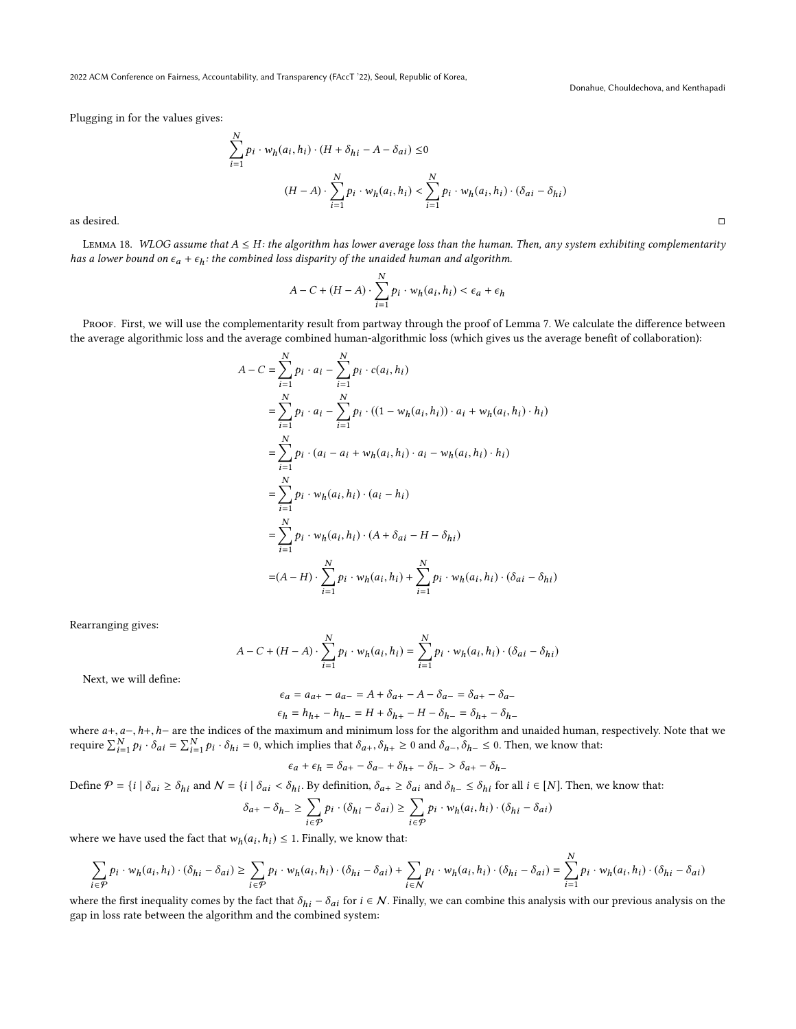Donahue, Chouldechova, and Kenthapadi

Plugging in for the values gives:

$$
\sum_{i=1}^{N} p_i \cdot w_h(a_i, h_i) \cdot (H + \delta_{hi} - A - \delta_{ai}) \le 0
$$
\n
$$
(H - A) \cdot \sum_{i=1}^{N} p_i \cdot w_h(a_i, h_i) < \sum_{i=1}^{N} p_i \cdot w_h(a_i, h_i) \cdot (\delta_{ai} - \delta_{hi})
$$
\nas desired.

LEMMA 18. WLOG assume that  $A \leq H$ : the algorithm has lower average loss than the human. Then, any system exhibiting complementarity has a lower bound on  $\epsilon_a + \epsilon_h$ : the combined loss disparity of the unaided human and algorithm.

$$
A - C + (H - A) \cdot \sum_{i=1}^{N} p_i \cdot w_h(a_i, h_i) < \epsilon_a + \epsilon_h
$$

PROOF. First, we will use the complementarity result from partway through the proof of Lemma [7.](#page-7-3) We calculate the difference between the average algorithmic loss and the average combined human-algorithmic loss (which gives us the average benefit of collaboration):

$$
A - C = \sum_{i=1}^{N} p_i \cdot a_i - \sum_{i=1}^{N} p_i \cdot c(a_i, h_i)
$$
  
\n
$$
= \sum_{i=1}^{N} p_i \cdot a_i - \sum_{i=1}^{N} p_i \cdot ((1 - w_h(a_i, h_i)) \cdot a_i + w_h(a_i, h_i) \cdot h_i)
$$
  
\n
$$
= \sum_{i=1}^{N} p_i \cdot (a_i - a_i + w_h(a_i, h_i) \cdot a_i - w_h(a_i, h_i) \cdot h_i)
$$
  
\n
$$
= \sum_{i=1}^{N} p_i \cdot w_h(a_i, h_i) \cdot (a_i - h_i)
$$
  
\n
$$
= \sum_{i=1}^{N} p_i \cdot w_h(a_i, h_i) \cdot (A + \delta_{ai} - H - \delta_{hi})
$$
  
\n
$$
= (A - H) \cdot \sum_{i=1}^{N} p_i \cdot w_h(a_i, h_i) + \sum_{i=1}^{N} p_i \cdot w_h(a_i, h_i) \cdot (\delta_{ai} - \delta_{hi})
$$

Rearranging gives:

$$
A-C+(H-A)\cdot \sum_{i=1}^N p_i \cdot w_h(a_i,h_i)=\sum_{i=1}^N p_i \cdot w_h(a_i,h_i)\cdot (\delta_{ai}-\delta_{hi})
$$

Next, we will define:

$$
\epsilon_a = a_{a+} - a_{a-} = A + \delta_{a+} - A - \delta_{a-} = \delta_{a+} - \delta_{a-}
$$

$$
\epsilon_h = h_{h+} - h_{h-} = H + \delta_{h+} - H - \delta_{h-} = \delta_{h+} - \delta_{h-}
$$

where  $a+, a-, h+, h-$  are the indices of the maximum and minimum loss for the algorithm and unaided human, respectively. Note that we<br>require  $\sum_{n=1}^{N} a_{n} = \sum_{n=1}^{N} a_{n} = \sum_{n=1}^{N} a_{n} = \sum_{n=1}^{N} a_{n} = \sum_{n=1}^{N} a_{n} = \sum_{n=1}^{$ require  $\sum_{i=1}^{N} p_i \cdot \delta_{ai} = \sum_{i=1}^{N} p_i \cdot \delta_{hi} = 0$ , which implies that  $\delta_{a+}, \delta_{h+} \ge 0$  and  $\delta_{a-}, \delta_{h-} \le 0$ . Then, we know that:

$$
\epsilon_a + \epsilon_h = \delta_{a+} - \delta_{a-} + \delta_{h+} - \delta_{h-} > \delta_{a+} - \delta_{h-}
$$

Define  $\mathcal{P} = \{i \mid \delta_{ai} \geq \delta_{hi} \text{ and } \mathcal{N} = \{i \mid \delta_{ai} < \delta_{hi} \text{. By definition, } \delta_{a+} \geq \delta_{ai} \text{ and } \delta_{h-} \leq \delta_{hi} \text{ for all } i \in [N] \text{. Then, we know that:}$ 

$$
\delta_{a+} - \delta_{h-} \geq \sum_{i \in \mathcal{P}} p_i \cdot (\delta_{hi} - \delta_{ai}) \geq \sum_{i \in \mathcal{P}} p_i \cdot w_h(a_i, h_i) \cdot (\delta_{hi} - \delta_{ai})
$$

where we have used the fact that  $w_h(a_i, h_i) \leq 1$ . Finally, we know that:

$$
\sum_{i\in\mathcal{P}}p_i\cdot w_h(a_i,h_i)\cdot(\delta_{hi}-\delta_{ai})\geq \sum_{i\in\mathcal{P}}p_i\cdot w_h(a_i,h_i)\cdot(\delta_{hi}-\delta_{ai})+\sum_{i\in\mathcal{N}}p_i\cdot w_h(a_i,h_i)\cdot(\delta_{hi}-\delta_{ai})=\sum_{i=1}^Np_i\cdot w_h(a_i,h_i)\cdot(\delta_{hi}-\delta_{ai})
$$

where the first inequality comes by the fact that  $\delta_{hi} - \delta_{ai}$  for  $i \in \mathcal{N}$ . Finally, we can combine this analysis with our previous analysis on the gap in loss rate between the algorithm and the combined system: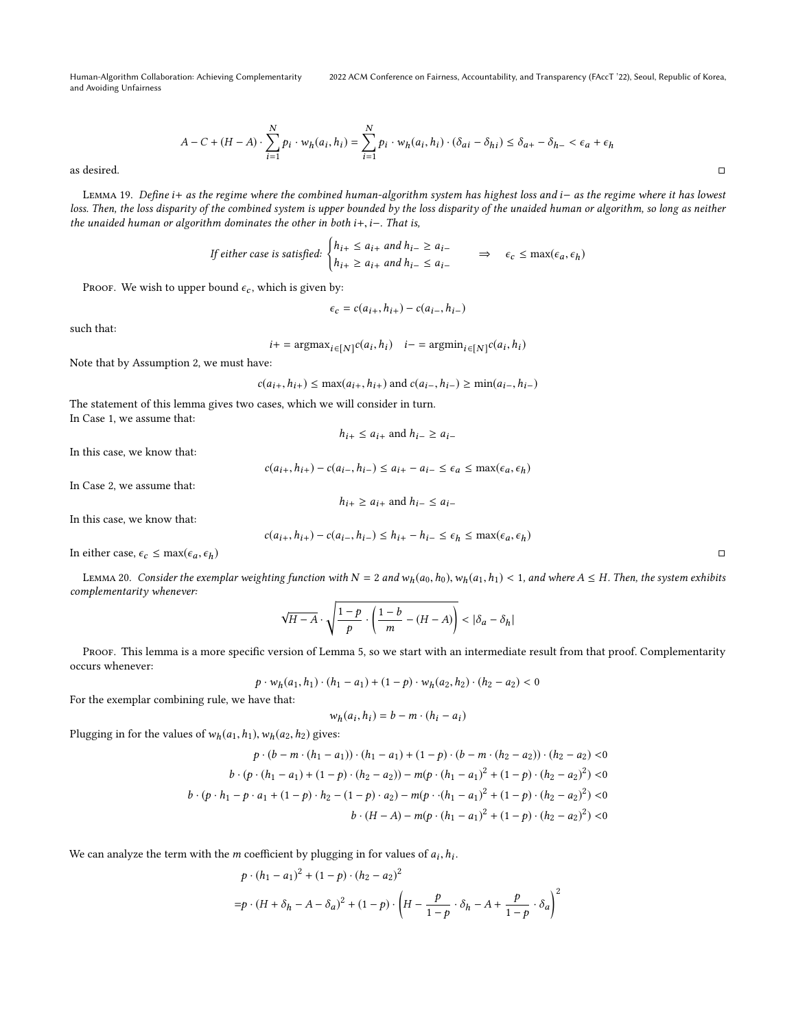2022 ACM Conference on Fairness, Accountability, and Transparency (FAccT '22), Seoul, Republic of Korea,

$$
A - C + (H - A) \cdot \sum_{i=1}^{N} p_i \cdot w_h(a_i, h_i) = \sum_{i=1}^{N} p_i \cdot w_h(a_i, h_i) \cdot (\delta_{ai} - \delta_{hi}) \le \delta_{a+} - \delta_{h-} < \epsilon_a + \epsilon_h
$$
\nas desired.

Lemma 19. Define i<sup>+</sup> as the regime where the combined human-algorithm system has highest loss and i<sup>−</sup> as the regime where it has lowest loss. Then, the loss disparity of the combined system is upper bounded by the loss disparity of the unaided human or algorithm, so long as neither the unaided human or algorithm dominates the other in both i+, i-. That is,

If either case is satisfied: 
$$
\begin{cases} h_{i+} \le a_{i+} \text{ and } h_{i-} \ge a_{i-} \\ h_{i+} \ge a_{i+} \text{ and } h_{i-} \le a_{i-} \end{cases} \Rightarrow \epsilon_c \le \max(\epsilon_a, \epsilon_h)
$$

PROOF. We wish to upper bound  $\epsilon_c$ , which is given by:

$$
\epsilon_c = c(a_{i+}, h_{i+}) - c(a_{i-}, h_{i-})
$$

such that:

$$
i+=\text{argmax}_{i\in[N]}c(a_i,h_i)\quad i-=\text{argmin}_{i\in[N]}c(a_i,h_i)
$$

Note that by Assumption [2,](#page-3-1) we must have:

 $c(a_{i+}, h_{i+}) \leq \max(a_{i+}, h_{i+})$  and  $c(a_{i-}, h_{i-}) \geq \min(a_{i-}, h_{i-})$ 

The statement of this lemma gives two cases, which we will consider in turn. In Case 1, we assume that:

 $h_{i+} \le a_{i+}$  and  $h_{i-} \ge a_{i-}$ 

In this case, we know that:

 $c(a_{i+}, h_{i+}) - c(a_{i-}, h_{i-}) \le a_{i+} - a_{i-} \le \epsilon_a \le \max(\epsilon_a, \epsilon_h)$ 

In Case 2, we assume that:

$$
h_{i+} \ge a_{i+}
$$
 and 
$$
h_{i-} \le a_{i-}
$$

In this case, we know that:

$$
c(a_{i+}, h_{i+}) - c(a_{i-}, h_{i-}) \le h_{i+} - h_{i-} \le \epsilon_h \le \max(\epsilon_a, \epsilon_h)
$$

In either case,  $\epsilon_c \le \max(\epsilon_a, \epsilon_h)$ 

LEMMA 20. Consider the exemplar weighting function with  $N = 2$  and  $w_h(a_0, h_0)$ ,  $w_h(a_1, h_1) < 1$ , and where  $A \le H$ . Then, the system exhibits complementarity whenever:

$$
\sqrt{H-A}\cdot\sqrt{\frac{1-p}{p}\cdot\left(\frac{1-b}{m}-(H-A)\right)} < |\delta_a-\delta_h|
$$

PROOF. This lemma is a more specific version of Lemma [5,](#page-6-1) so we start with an intermediate result from that proof. Complementarity occurs whenever:

$$
p \cdot w_h(a_1, h_1) \cdot (h_1 - a_1) + (1 - p) \cdot w_h(a_2, h_2) \cdot (h_2 - a_2) < 0
$$

For the exemplar combining rule, we have that:

$$
w_h(a_i, h_i) = b - m \cdot (h_i - a_i)
$$

Plugging in for the values of  $w_h(a_1,h_1), w_h(a_2,h_2)$  gives:

$$
p \cdot (b - m \cdot (h_1 - a_1)) \cdot (h_1 - a_1) + (1 - p) \cdot (b - m \cdot (h_2 - a_2)) \cdot (h_2 - a_2) < 0
$$
\n
$$
b \cdot (p \cdot (h_1 - a_1) + (1 - p) \cdot (h_2 - a_2)) - m(p \cdot (h_1 - a_1)^2 + (1 - p) \cdot (h_2 - a_2)^2) < 0
$$
\n
$$
b \cdot (p \cdot h_1 - p \cdot a_1 + (1 - p) \cdot h_2 - (1 - p) \cdot a_2) - m(p \cdot (h_1 - a_1)^2 + (1 - p) \cdot (h_2 - a_2)^2) < 0
$$
\n
$$
b \cdot (H - A) - m(p \cdot (h_1 - a_1)^2 + (1 - p) \cdot (h_2 - a_2)^2) < 0
$$

We can analyze the term with the *m* coefficient by plugging in for values of  $a_i$ ,  $h_i$ .

$$
p \cdot (h_1 - a_1)^2 + (1 - p) \cdot (h_2 - a_2)^2
$$
  
=  $p \cdot (H + \delta_h - A - \delta_a)^2 + (1 - p) \cdot \left( H - \frac{p}{1 - p} \cdot \delta_h - A + \frac{p}{1 - p} \cdot \delta_a \right)^2$ 

 $\overline{2}$